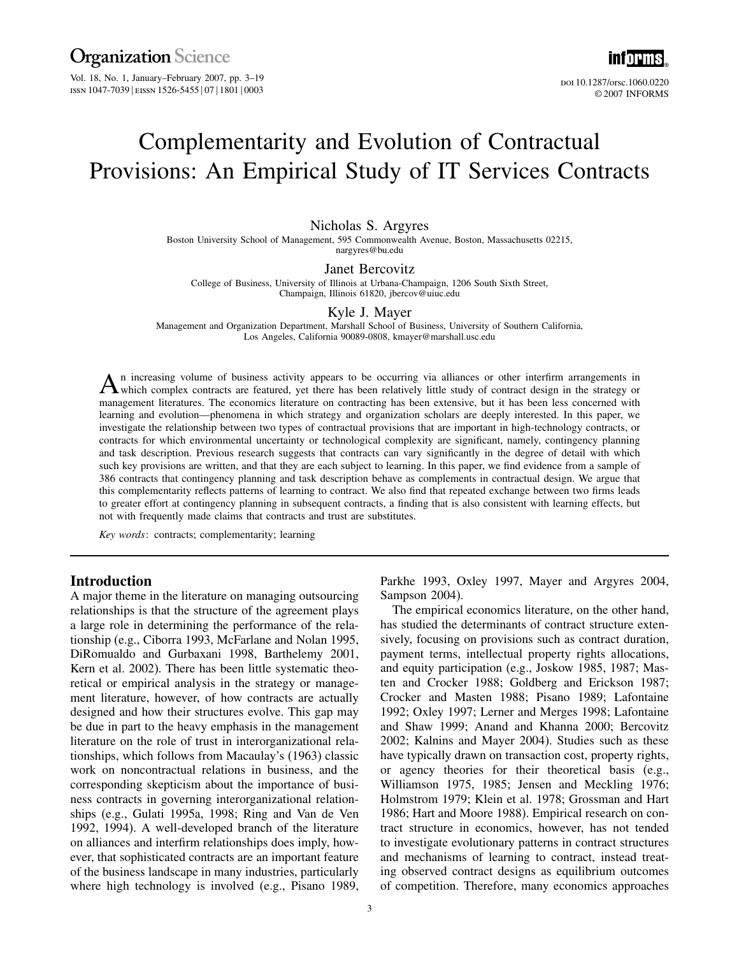**Vol. 18, No. 1, January–February 2007, pp. 3–19** ISSN 1047-7039 | EISSN 1526-5455 | 07 | 1801 | 0003



# Complementarity and Evolution of Contractual Provisions: An Empirical Study of IT Services Contracts

#### Nicholas S. Argyres

Boston University School of Management, 595 Commonwealth Avenue, Boston, Massachusetts 02215, nargyres@bu.edu

Janet Bercovitz

College of Business, University of Illinois at Urbana-Champaign, 1206 South Sixth Street, Champaign, Illinois 61820, jbercov@uiuc.edu

### Kyle J. Mayer

Management and Organization Department, Marshall School of Business, University of Southern California, Los Angeles, California 90089-0808, kmayer@marshall.usc.edu

An increasing volume of business activity appears to be occurring via alliances or other interfirm arrangements in<br>A which complex contracts are featured, yet there has been relatively little study of contract design in th management literatures. The economics literature on contracting has been extensive, but it has been less concerned with learning and evolution—phenomena in which strategy and organization scholars are deeply interested. In this paper, we investigate the relationship between two types of contractual provisions that are important in high-technology contracts, or contracts for which environmental uncertainty or technological complexity are significant, namely, contingency planning and task description. Previous research suggests that contracts can vary significantly in the degree of detail with which such key provisions are written, and that they are each subject to learning. In this paper, we find evidence from a sample of 386 contracts that contingency planning and task description behave as complements in contractual design. We argue that this complementarity reflects patterns of learning to contract. We also find that repeated exchange between two firms leads to greater effort at contingency planning in subsequent contracts, a finding that is also consistent with learning effects, but not with frequently made claims that contracts and trust are substitutes.

Key words: contracts; complementarity; learning

#### Introduction

A major theme in the literature on managing outsourcing relationships is that the structure of the agreement plays a large role in determining the performance of the relationship (e.g., Ciborra 1993, McFarlane and Nolan 1995, DiRomualdo and Gurbaxani 1998, Barthelemy 2001, Kern et al. 2002). There has been little systematic theoretical or empirical analysis in the strategy or management literature, however, of how contracts are actually designed and how their structures evolve. This gap may be due in part to the heavy emphasis in the management literature on the role of trust in interorganizational relationships, which follows from Macaulay's (1963) classic work on noncontractual relations in business, and the corresponding skepticism about the importance of business contracts in governing interorganizational relationships (e.g., Gulati 1995a, 1998; Ring and Van de Ven 1992, 1994). A well-developed branch of the literature on alliances and interfirm relationships does imply, however, that sophisticated contracts are an important feature of the business landscape in many industries, particularly where high technology is involved (e.g., Pisano 1989,

Parkhe 1993, Oxley 1997, Mayer and Argyres 2004, Sampson 2004).

The empirical economics literature, on the other hand, has studied the determinants of contract structure extensively, focusing on provisions such as contract duration, payment terms, intellectual property rights allocations, and equity participation (e.g., Joskow 1985, 1987; Masten and Crocker 1988; Goldberg and Erickson 1987; Crocker and Masten 1988; Pisano 1989; Lafontaine 1992; Oxley 1997; Lerner and Merges 1998; Lafontaine and Shaw 1999; Anand and Khanna 2000; Bercovitz 2002; Kalnins and Mayer 2004). Studies such as these have typically drawn on transaction cost, property rights, or agency theories for their theoretical basis (e.g., Williamson 1975, 1985; Jensen and Meckling 1976; Holmstrom 1979; Klein et al. 1978; Grossman and Hart 1986; Hart and Moore 1988). Empirical research on contract structure in economics, however, has not tended to investigate evolutionary patterns in contract structures and mechanisms of learning to contract, instead treating observed contract designs as equilibrium outcomes of competition. Therefore, many economics approaches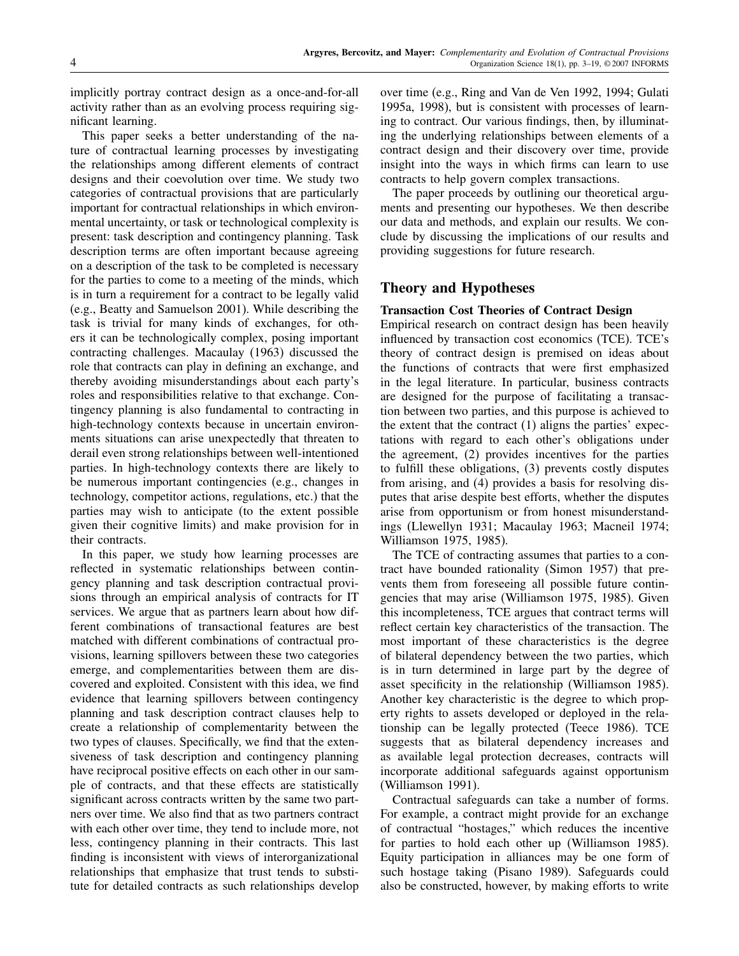implicitly portray contract design as a once-and-for-all activity rather than as an evolving process requiring significant learning.

This paper seeks a better understanding of the nature of contractual learning processes by investigating the relationships among different elements of contract designs and their coevolution over time. We study two categories of contractual provisions that are particularly important for contractual relationships in which environmental uncertainty, or task or technological complexity is present: task description and contingency planning. Task description terms are often important because agreeing on a description of the task to be completed is necessary for the parties to come to a meeting of the minds, which is in turn a requirement for a contract to be legally valid (e.g., Beatty and Samuelson 2001). While describing the task is trivial for many kinds of exchanges, for others it can be technologically complex, posing important contracting challenges. Macaulay (1963) discussed the role that contracts can play in defining an exchange, and thereby avoiding misunderstandings about each party's roles and responsibilities relative to that exchange. Contingency planning is also fundamental to contracting in high-technology contexts because in uncertain environments situations can arise unexpectedly that threaten to derail even strong relationships between well-intentioned parties. In high-technology contexts there are likely to be numerous important contingencies (e.g., changes in technology, competitor actions, regulations, etc.) that the parties may wish to anticipate (to the extent possible given their cognitive limits) and make provision for in their contracts.

In this paper, we study how learning processes are reflected in systematic relationships between contingency planning and task description contractual provisions through an empirical analysis of contracts for IT services. We argue that as partners learn about how different combinations of transactional features are best matched with different combinations of contractual provisions, learning spillovers between these two categories emerge, and complementarities between them are discovered and exploited. Consistent with this idea, we find evidence that learning spillovers between contingency planning and task description contract clauses help to create a relationship of complementarity between the two types of clauses. Specifically, we find that the extensiveness of task description and contingency planning have reciprocal positive effects on each other in our sample of contracts, and that these effects are statistically significant across contracts written by the same two partners over time. We also find that as two partners contract with each other over time, they tend to include more, not less, contingency planning in their contracts. This last finding is inconsistent with views of interorganizational relationships that emphasize that trust tends to substitute for detailed contracts as such relationships develop

over time (e.g., Ring and Van de Ven 1992, 1994; Gulati 1995a, 1998), but is consistent with processes of learning to contract. Our various findings, then, by illuminating the underlying relationships between elements of a contract design and their discovery over time, provide insight into the ways in which firms can learn to use contracts to help govern complex transactions.

The paper proceeds by outlining our theoretical arguments and presenting our hypotheses. We then describe our data and methods, and explain our results. We conclude by discussing the implications of our results and providing suggestions for future research.

# Theory and Hypotheses

#### Transaction Cost Theories of Contract Design

Empirical research on contract design has been heavily influenced by transaction cost economics (TCE). TCE's theory of contract design is premised on ideas about the functions of contracts that were first emphasized in the legal literature. In particular, business contracts are designed for the purpose of facilitating a transaction between two parties, and this purpose is achieved to the extent that the contract (1) aligns the parties' expectations with regard to each other's obligations under the agreement, (2) provides incentives for the parties to fulfill these obligations, (3) prevents costly disputes from arising, and (4) provides a basis for resolving disputes that arise despite best efforts, whether the disputes arise from opportunism or from honest misunderstandings (Llewellyn 1931; Macaulay 1963; Macneil 1974; Williamson 1975, 1985).

The TCE of contracting assumes that parties to a contract have bounded rationality (Simon 1957) that prevents them from foreseeing all possible future contingencies that may arise (Williamson 1975, 1985). Given this incompleteness, TCE argues that contract terms will reflect certain key characteristics of the transaction. The most important of these characteristics is the degree of bilateral dependency between the two parties, which is in turn determined in large part by the degree of asset specificity in the relationship (Williamson 1985). Another key characteristic is the degree to which property rights to assets developed or deployed in the relationship can be legally protected (Teece 1986). TCE suggests that as bilateral dependency increases and as available legal protection decreases, contracts will incorporate additional safeguards against opportunism (Williamson 1991).

Contractual safeguards can take a number of forms. For example, a contract might provide for an exchange of contractual "hostages," which reduces the incentive for parties to hold each other up (Williamson 1985). Equity participation in alliances may be one form of such hostage taking (Pisano 1989). Safeguards could also be constructed, however, by making efforts to write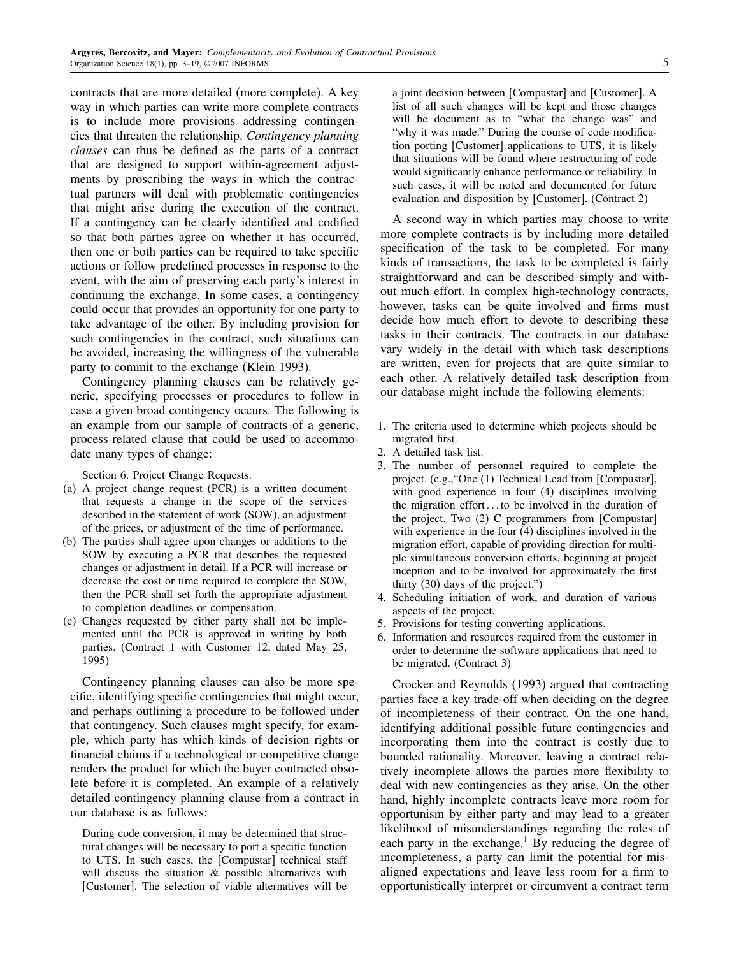contracts that are more detailed (more complete). A key way in which parties can write more complete contracts is to include more provisions addressing contingencies that threaten the relationship. Contingency planning clauses can thus be defined as the parts of a contract that are designed to support within-agreement adjustments by proscribing the ways in which the contractual partners will deal with problematic contingencies that might arise during the execution of the contract. If a contingency can be clearly identified and codified so that both parties agree on whether it has occurred, then one or both parties can be required to take specific actions or follow predefined processes in response to the event, with the aim of preserving each party's interest in continuing the exchange. In some cases, a contingency could occur that provides an opportunity for one party to take advantage of the other. By including provision for such contingencies in the contract, such situations can be avoided, increasing the willingness of the vulnerable party to commit to the exchange (Klein 1993).

Contingency planning clauses can be relatively generic, specifying processes or procedures to follow in case a given broad contingency occurs. The following is an example from our sample of contracts of a generic, process-related clause that could be used to accommodate many types of change:

Section 6. Project Change Requests.

- (a) A project change request (PCR) is a written document that requests a change in the scope of the services described in the statement of work (SOW), an adjustment of the prices, or adjustment of the time of performance.
- (b) The parties shall agree upon changes or additions to the SOW by executing a PCR that describes the requested changes or adjustment in detail. If a PCR will increase or decrease the cost or time required to complete the SOW, then the PCR shall set forth the appropriate adjustment to completion deadlines or compensation.
- (c) Changes requested by either party shall not be implemented until the PCR is approved in writing by both parties. (Contract 1 with Customer 12, dated May 25, 1995)

Contingency planning clauses can also be more specific, identifying specific contingencies that might occur, and perhaps outlining a procedure to be followed under that contingency. Such clauses might specify, for example, which party has which kinds of decision rights or financial claims if a technological or competitive change renders the product for which the buyer contracted obsolete before it is completed. An example of a relatively detailed contingency planning clause from a contract in our database is as follows:

During code conversion, it may be determined that structural changes will be necessary to port a specific function to UTS. In such cases, the [Compustar] technical staff will discuss the situation & possible alternatives with [Customer]. The selection of viable alternatives will be a joint decision between [Compustar] and [Customer]. A list of all such changes will be kept and those changes will be document as to "what the change was" and "why it was made." During the course of code modification porting [Customer] applications to UTS, it is likely that situations will be found where restructuring of code would significantly enhance performance or reliability. In such cases, it will be noted and documented for future evaluation and disposition by [Customer]. (Contract 2)

A second way in which parties may choose to write more complete contracts is by including more detailed specification of the task to be completed. For many kinds of transactions, the task to be completed is fairly straightforward and can be described simply and without much effort. In complex high-technology contracts, however, tasks can be quite involved and firms must decide how much effort to devote to describing these tasks in their contracts. The contracts in our database vary widely in the detail with which task descriptions are written, even for projects that are quite similar to each other. A relatively detailed task description from our database might include the following elements:

- 1. The criteria used to determine which projects should be migrated first.
- 2. A detailed task list.
- 3. The number of personnel required to complete the project. (e.g.,"One (1) Technical Lead from [Compustar], with good experience in four (4) disciplines involving the migration effort...to be involved in the duration of the project. Two (2) C programmers from [Compustar] with experience in the four (4) disciplines involved in the migration effort, capable of providing direction for multiple simultaneous conversion efforts, beginning at project inception and to be involved for approximately the first thirty (30) days of the project.")
- 4. Scheduling initiation of work, and duration of various aspects of the project.
- 5. Provisions for testing converting applications.
- 6. Information and resources required from the customer in order to determine the software applications that need to be migrated. (Contract 3)

Crocker and Reynolds (1993) argued that contracting parties face a key trade-off when deciding on the degree of incompleteness of their contract. On the one hand, identifying additional possible future contingencies and incorporating them into the contract is costly due to bounded rationality. Moreover, leaving a contract relatively incomplete allows the parties more flexibility to deal with new contingencies as they arise. On the other hand, highly incomplete contracts leave more room for opportunism by either party and may lead to a greater likelihood of misunderstandings regarding the roles of each party in the exchange.<sup>1</sup> By reducing the degree of incompleteness, a party can limit the potential for misaligned expectations and leave less room for a firm to opportunistically interpret or circumvent a contract term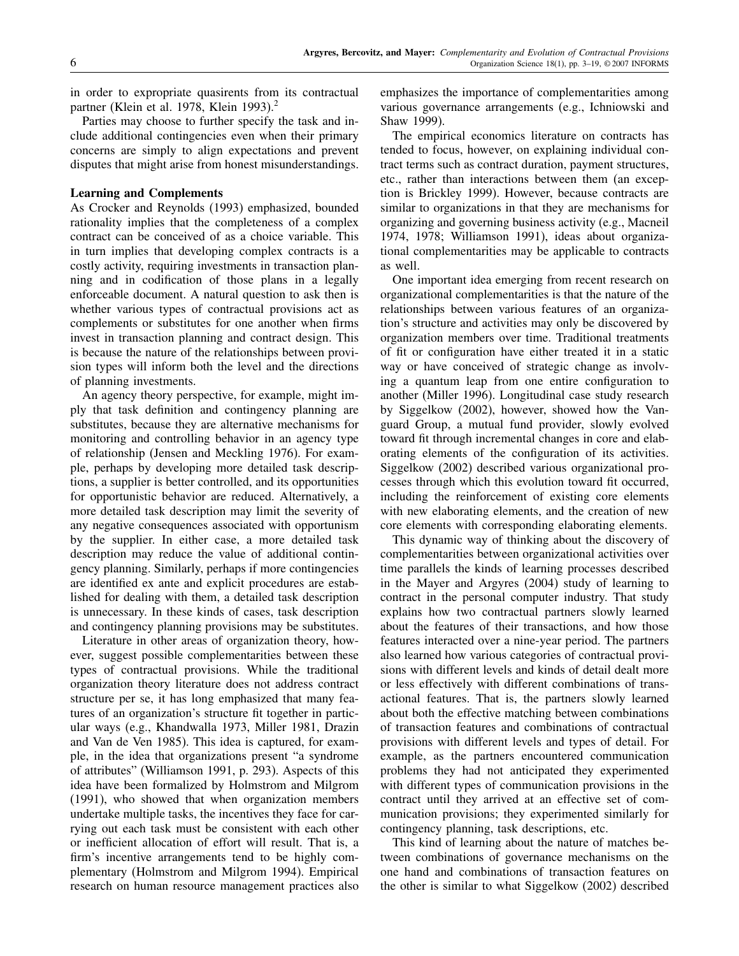in order to expropriate quasirents from its contractual partner (Klein et al. 1978, Klein 1993).<sup>2</sup>

Parties may choose to further specify the task and include additional contingencies even when their primary concerns are simply to align expectations and prevent disputes that might arise from honest misunderstandings.

#### Learning and Complements

As Crocker and Reynolds (1993) emphasized, bounded rationality implies that the completeness of a complex contract can be conceived of as a choice variable. This in turn implies that developing complex contracts is a costly activity, requiring investments in transaction planning and in codification of those plans in a legally enforceable document. A natural question to ask then is whether various types of contractual provisions act as complements or substitutes for one another when firms invest in transaction planning and contract design. This is because the nature of the relationships between provision types will inform both the level and the directions of planning investments.

An agency theory perspective, for example, might imply that task definition and contingency planning are substitutes, because they are alternative mechanisms for monitoring and controlling behavior in an agency type of relationship (Jensen and Meckling 1976). For example, perhaps by developing more detailed task descriptions, a supplier is better controlled, and its opportunities for opportunistic behavior are reduced. Alternatively, a more detailed task description may limit the severity of any negative consequences associated with opportunism by the supplier. In either case, a more detailed task description may reduce the value of additional contingency planning. Similarly, perhaps if more contingencies are identified ex ante and explicit procedures are established for dealing with them, a detailed task description is unnecessary. In these kinds of cases, task description and contingency planning provisions may be substitutes.

Literature in other areas of organization theory, however, suggest possible complementarities between these types of contractual provisions. While the traditional organization theory literature does not address contract structure per se, it has long emphasized that many features of an organization's structure fit together in particular ways (e.g., Khandwalla 1973, Miller 1981, Drazin and Van de Ven 1985). This idea is captured, for example, in the idea that organizations present "a syndrome of attributes" (Williamson 1991, p. 293). Aspects of this idea have been formalized by Holmstrom and Milgrom (1991), who showed that when organization members undertake multiple tasks, the incentives they face for carrying out each task must be consistent with each other or inefficient allocation of effort will result. That is, a firm's incentive arrangements tend to be highly complementary (Holmstrom and Milgrom 1994). Empirical research on human resource management practices also

emphasizes the importance of complementarities among various governance arrangements (e.g., Ichniowski and Shaw 1999).

The empirical economics literature on contracts has tended to focus, however, on explaining individual contract terms such as contract duration, payment structures, etc., rather than interactions between them (an exception is Brickley 1999). However, because contracts are similar to organizations in that they are mechanisms for organizing and governing business activity (e.g., Macneil 1974, 1978; Williamson 1991), ideas about organizational complementarities may be applicable to contracts as well.

One important idea emerging from recent research on organizational complementarities is that the nature of the relationships between various features of an organization's structure and activities may only be discovered by organization members over time. Traditional treatments of fit or configuration have either treated it in a static way or have conceived of strategic change as involving a quantum leap from one entire configuration to another (Miller 1996). Longitudinal case study research by Siggelkow (2002), however, showed how the Vanguard Group, a mutual fund provider, slowly evolved toward fit through incremental changes in core and elaborating elements of the configuration of its activities. Siggelkow (2002) described various organizational processes through which this evolution toward fit occurred, including the reinforcement of existing core elements with new elaborating elements, and the creation of new core elements with corresponding elaborating elements.

This dynamic way of thinking about the discovery of complementarities between organizational activities over time parallels the kinds of learning processes described in the Mayer and Argyres (2004) study of learning to contract in the personal computer industry. That study explains how two contractual partners slowly learned about the features of their transactions, and how those features interacted over a nine-year period. The partners also learned how various categories of contractual provisions with different levels and kinds of detail dealt more or less effectively with different combinations of transactional features. That is, the partners slowly learned about both the effective matching between combinations of transaction features and combinations of contractual provisions with different levels and types of detail. For example, as the partners encountered communication problems they had not anticipated they experimented with different types of communication provisions in the contract until they arrived at an effective set of communication provisions; they experimented similarly for contingency planning, task descriptions, etc.

This kind of learning about the nature of matches between combinations of governance mechanisms on the one hand and combinations of transaction features on the other is similar to what Siggelkow (2002) described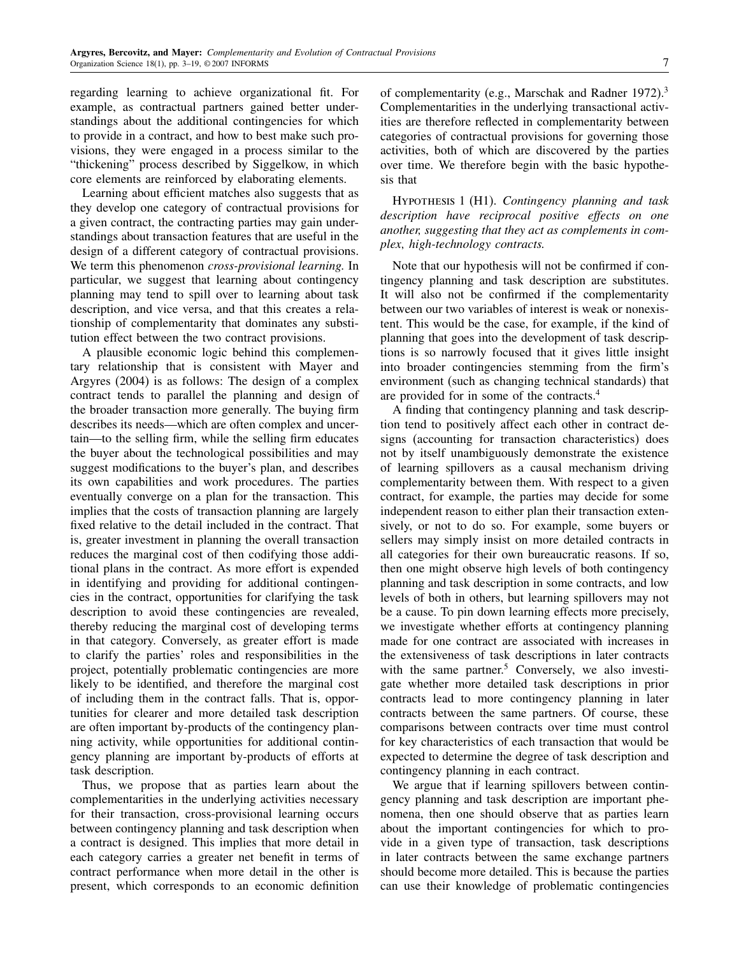regarding learning to achieve organizational fit. For example, as contractual partners gained better understandings about the additional contingencies for which to provide in a contract, and how to best make such provisions, they were engaged in a process similar to the "thickening" process described by Siggelkow, in which core elements are reinforced by elaborating elements.

Learning about efficient matches also suggests that as they develop one category of contractual provisions for a given contract, the contracting parties may gain understandings about transaction features that are useful in the design of a different category of contractual provisions. We term this phenomenon *cross-provisional learning*. In particular, we suggest that learning about contingency planning may tend to spill over to learning about task description, and vice versa, and that this creates a relationship of complementarity that dominates any substitution effect between the two contract provisions.

A plausible economic logic behind this complementary relationship that is consistent with Mayer and Argyres (2004) is as follows: The design of a complex contract tends to parallel the planning and design of the broader transaction more generally. The buying firm describes its needs—which are often complex and uncertain—to the selling firm, while the selling firm educates the buyer about the technological possibilities and may suggest modifications to the buyer's plan, and describes its own capabilities and work procedures. The parties eventually converge on a plan for the transaction. This implies that the costs of transaction planning are largely fixed relative to the detail included in the contract. That is, greater investment in planning the overall transaction reduces the marginal cost of then codifying those additional plans in the contract. As more effort is expended in identifying and providing for additional contingencies in the contract, opportunities for clarifying the task description to avoid these contingencies are revealed, thereby reducing the marginal cost of developing terms in that category. Conversely, as greater effort is made to clarify the parties' roles and responsibilities in the project, potentially problematic contingencies are more likely to be identified, and therefore the marginal cost of including them in the contract falls. That is, opportunities for clearer and more detailed task description are often important by-products of the contingency planning activity, while opportunities for additional contingency planning are important by-products of efforts at task description.

Thus, we propose that as parties learn about the complementarities in the underlying activities necessary for their transaction, cross-provisional learning occurs between contingency planning and task description when a contract is designed. This implies that more detail in each category carries a greater net benefit in terms of contract performance when more detail in the other is present, which corresponds to an economic definition

of complementarity (e.g., Marschak and Radner 1972).<sup>3</sup> Complementarities in the underlying transactional activities are therefore reflected in complementarity between categories of contractual provisions for governing those activities, both of which are discovered by the parties over time. We therefore begin with the basic hypothesis that

Hypothesis 1 (H1). Contingency planning and task description have reciprocal positive effects on one another, suggesting that they act as complements in complex, high-technology contracts.

Note that our hypothesis will not be confirmed if contingency planning and task description are substitutes. It will also not be confirmed if the complementarity between our two variables of interest is weak or nonexistent. This would be the case, for example, if the kind of planning that goes into the development of task descriptions is so narrowly focused that it gives little insight into broader contingencies stemming from the firm's environment (such as changing technical standards) that are provided for in some of the contracts.<sup>4</sup>

A finding that contingency planning and task description tend to positively affect each other in contract designs (accounting for transaction characteristics) does not by itself unambiguously demonstrate the existence of learning spillovers as a causal mechanism driving complementarity between them. With respect to a given contract, for example, the parties may decide for some independent reason to either plan their transaction extensively, or not to do so. For example, some buyers or sellers may simply insist on more detailed contracts in all categories for their own bureaucratic reasons. If so, then one might observe high levels of both contingency planning and task description in some contracts, and low levels of both in others, but learning spillovers may not be a cause. To pin down learning effects more precisely, we investigate whether efforts at contingency planning made for one contract are associated with increases in the extensiveness of task descriptions in later contracts with the same partner.<sup>5</sup> Conversely, we also investigate whether more detailed task descriptions in prior contracts lead to more contingency planning in later contracts between the same partners. Of course, these comparisons between contracts over time must control for key characteristics of each transaction that would be expected to determine the degree of task description and contingency planning in each contract.

We argue that if learning spillovers between contingency planning and task description are important phenomena, then one should observe that as parties learn about the important contingencies for which to provide in a given type of transaction, task descriptions in later contracts between the same exchange partners should become more detailed. This is because the parties can use their knowledge of problematic contingencies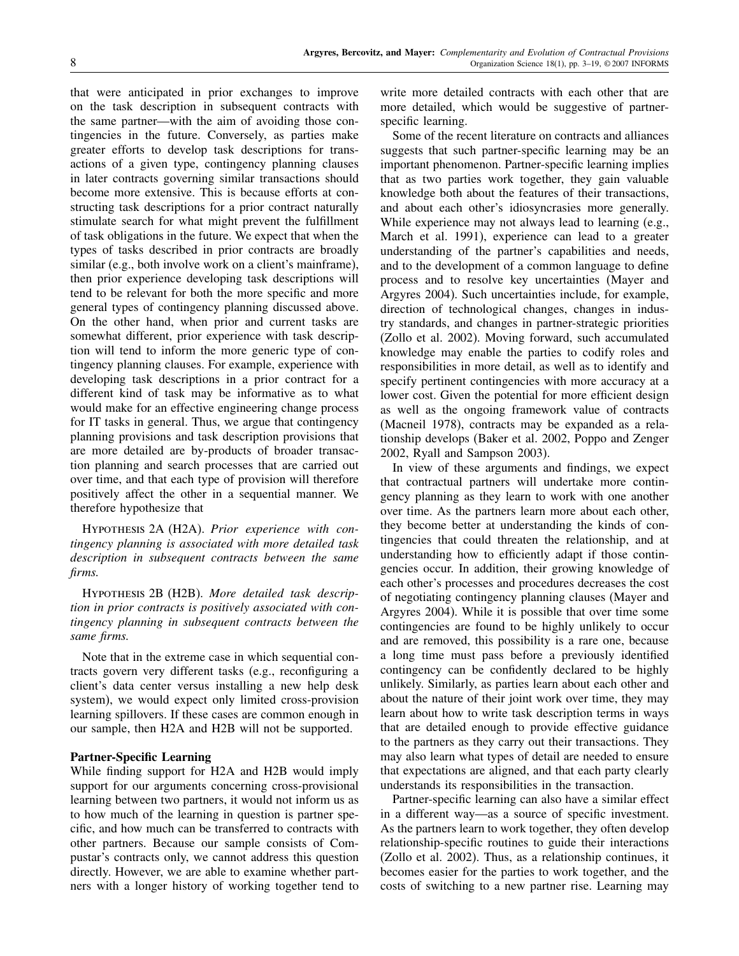that were anticipated in prior exchanges to improve on the task description in subsequent contracts with the same partner—with the aim of avoiding those contingencies in the future. Conversely, as parties make greater efforts to develop task descriptions for transactions of a given type, contingency planning clauses in later contracts governing similar transactions should become more extensive. This is because efforts at constructing task descriptions for a prior contract naturally stimulate search for what might prevent the fulfillment of task obligations in the future. We expect that when the types of tasks described in prior contracts are broadly similar (e.g., both involve work on a client's mainframe), then prior experience developing task descriptions will tend to be relevant for both the more specific and more general types of contingency planning discussed above. On the other hand, when prior and current tasks are somewhat different, prior experience with task description will tend to inform the more generic type of contingency planning clauses. For example, experience with developing task descriptions in a prior contract for a different kind of task may be informative as to what would make for an effective engineering change process for IT tasks in general. Thus, we argue that contingency planning provisions and task description provisions that are more detailed are by-products of broader transaction planning and search processes that are carried out over time, and that each type of provision will therefore positively affect the other in a sequential manner. We therefore hypothesize that

Hypothesis 2A (H2A). Prior experience with contingency planning is associated with more detailed task description in subsequent contracts between the same firms.

Hypothesis 2B (H2B). More detailed task description in prior contracts is positively associated with contingency planning in subsequent contracts between the same firms.

Note that in the extreme case in which sequential contracts govern very different tasks (e.g., reconfiguring a client's data center versus installing a new help desk system), we would expect only limited cross-provision learning spillovers. If these cases are common enough in our sample, then H2A and H2B will not be supported.

#### Partner-Specific Learning

While finding support for H2A and H2B would imply support for our arguments concerning cross-provisional learning between two partners, it would not inform us as to how much of the learning in question is partner specific, and how much can be transferred to contracts with other partners. Because our sample consists of Compustar's contracts only, we cannot address this question directly. However, we are able to examine whether partners with a longer history of working together tend to

write more detailed contracts with each other that are more detailed, which would be suggestive of partnerspecific learning.

Some of the recent literature on contracts and alliances suggests that such partner-specific learning may be an important phenomenon. Partner-specific learning implies that as two parties work together, they gain valuable knowledge both about the features of their transactions, and about each other's idiosyncrasies more generally. While experience may not always lead to learning (e.g., March et al. 1991), experience can lead to a greater understanding of the partner's capabilities and needs, and to the development of a common language to define process and to resolve key uncertainties (Mayer and Argyres 2004). Such uncertainties include, for example, direction of technological changes, changes in industry standards, and changes in partner-strategic priorities (Zollo et al. 2002). Moving forward, such accumulated knowledge may enable the parties to codify roles and responsibilities in more detail, as well as to identify and specify pertinent contingencies with more accuracy at a lower cost. Given the potential for more efficient design as well as the ongoing framework value of contracts (Macneil 1978), contracts may be expanded as a relationship develops (Baker et al. 2002, Poppo and Zenger 2002, Ryall and Sampson 2003).

In view of these arguments and findings, we expect that contractual partners will undertake more contingency planning as they learn to work with one another over time. As the partners learn more about each other, they become better at understanding the kinds of contingencies that could threaten the relationship, and at understanding how to efficiently adapt if those contingencies occur. In addition, their growing knowledge of each other's processes and procedures decreases the cost of negotiating contingency planning clauses (Mayer and Argyres 2004). While it is possible that over time some contingencies are found to be highly unlikely to occur and are removed, this possibility is a rare one, because a long time must pass before a previously identified contingency can be confidently declared to be highly unlikely. Similarly, as parties learn about each other and about the nature of their joint work over time, they may learn about how to write task description terms in ways that are detailed enough to provide effective guidance to the partners as they carry out their transactions. They may also learn what types of detail are needed to ensure that expectations are aligned, and that each party clearly understands its responsibilities in the transaction.

Partner-specific learning can also have a similar effect in a different way—as a source of specific investment. As the partners learn to work together, they often develop relationship-specific routines to guide their interactions (Zollo et al. 2002). Thus, as a relationship continues, it becomes easier for the parties to work together, and the costs of switching to a new partner rise. Learning may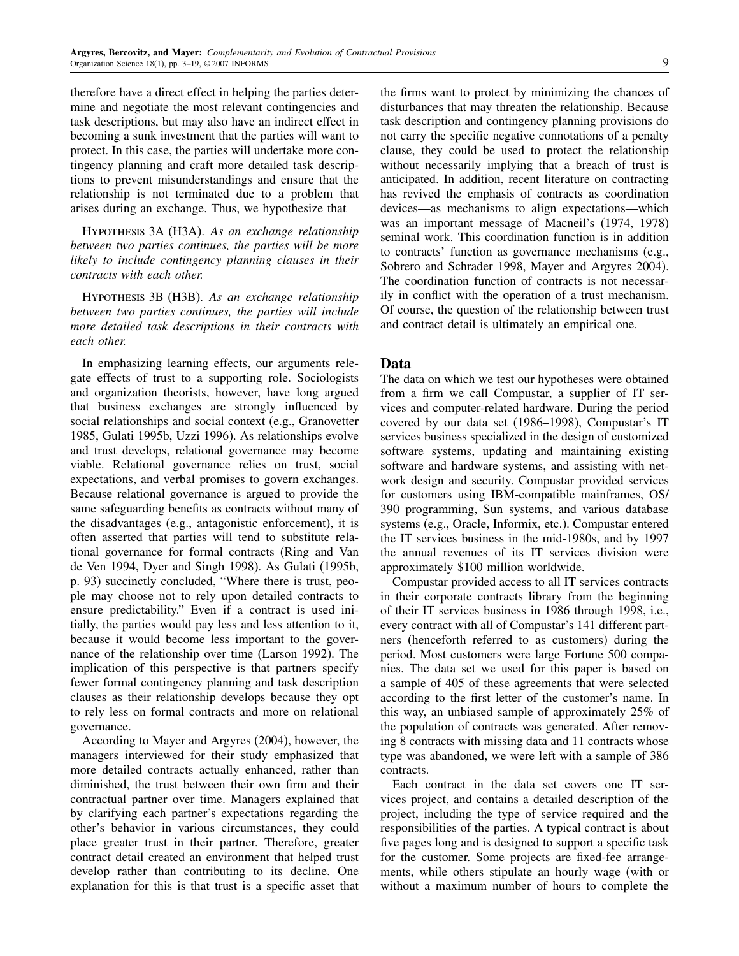therefore have a direct effect in helping the parties determine and negotiate the most relevant contingencies and task descriptions, but may also have an indirect effect in becoming a sunk investment that the parties will want to protect. In this case, the parties will undertake more contingency planning and craft more detailed task descriptions to prevent misunderstandings and ensure that the relationship is not terminated due to a problem that arises during an exchange. Thus, we hypothesize that

Hypothesis 3A (H3A). As an exchange relationship between two parties continues, the parties will be more likely to include contingency planning clauses in their contracts with each other.

Hypothesis 3B (H3B). As an exchange relationship between two parties continues, the parties will include more detailed task descriptions in their contracts with each other.

In emphasizing learning effects, our arguments relegate effects of trust to a supporting role. Sociologists and organization theorists, however, have long argued that business exchanges are strongly influenced by social relationships and social context (e.g., Granovetter 1985, Gulati 1995b, Uzzi 1996). As relationships evolve and trust develops, relational governance may become viable. Relational governance relies on trust, social expectations, and verbal promises to govern exchanges. Because relational governance is argued to provide the same safeguarding benefits as contracts without many of the disadvantages (e.g., antagonistic enforcement), it is often asserted that parties will tend to substitute relational governance for formal contracts (Ring and Van de Ven 1994, Dyer and Singh 1998). As Gulati (1995b, p. 93) succinctly concluded, "Where there is trust, people may choose not to rely upon detailed contracts to ensure predictability." Even if a contract is used initially, the parties would pay less and less attention to it, because it would become less important to the governance of the relationship over time (Larson 1992). The implication of this perspective is that partners specify fewer formal contingency planning and task description clauses as their relationship develops because they opt to rely less on formal contracts and more on relational governance.

According to Mayer and Argyres (2004), however, the managers interviewed for their study emphasized that more detailed contracts actually enhanced, rather than diminished, the trust between their own firm and their contractual partner over time. Managers explained that by clarifying each partner's expectations regarding the other's behavior in various circumstances, they could place greater trust in their partner. Therefore, greater contract detail created an environment that helped trust develop rather than contributing to its decline. One explanation for this is that trust is a specific asset that

the firms want to protect by minimizing the chances of disturbances that may threaten the relationship. Because task description and contingency planning provisions do not carry the specific negative connotations of a penalty clause, they could be used to protect the relationship without necessarily implying that a breach of trust is anticipated. In addition, recent literature on contracting has revived the emphasis of contracts as coordination devices—as mechanisms to align expectations—which was an important message of Macneil's (1974, 1978) seminal work. This coordination function is in addition to contracts' function as governance mechanisms (e.g., Sobrero and Schrader 1998, Mayer and Argyres 2004). The coordination function of contracts is not necessarily in conflict with the operation of a trust mechanism. Of course, the question of the relationship between trust and contract detail is ultimately an empirical one.

# Data

The data on which we test our hypotheses were obtained from a firm we call Compustar, a supplier of IT services and computer-related hardware. During the period covered by our data set (1986–1998), Compustar's IT services business specialized in the design of customized software systems, updating and maintaining existing software and hardware systems, and assisting with network design and security. Compustar provided services for customers using IBM-compatible mainframes, OS/ 390 programming, Sun systems, and various database systems (e.g., Oracle, Informix, etc.). Compustar entered the IT services business in the mid-1980s, and by 1997 the annual revenues of its IT services division were approximately \$100 million worldwide.

Compustar provided access to all IT services contracts in their corporate contracts library from the beginning of their IT services business in 1986 through 1998, i.e., every contract with all of Compustar's 141 different partners (henceforth referred to as customers) during the period. Most customers were large Fortune 500 companies. The data set we used for this paper is based on a sample of 405 of these agreements that were selected according to the first letter of the customer's name. In this way, an unbiased sample of approximately 25% of the population of contracts was generated. After removing 8 contracts with missing data and 11 contracts whose type was abandoned, we were left with a sample of 386 contracts.

Each contract in the data set covers one IT services project, and contains a detailed description of the project, including the type of service required and the responsibilities of the parties. A typical contract is about five pages long and is designed to support a specific task for the customer. Some projects are fixed-fee arrangements, while others stipulate an hourly wage (with or without a maximum number of hours to complete the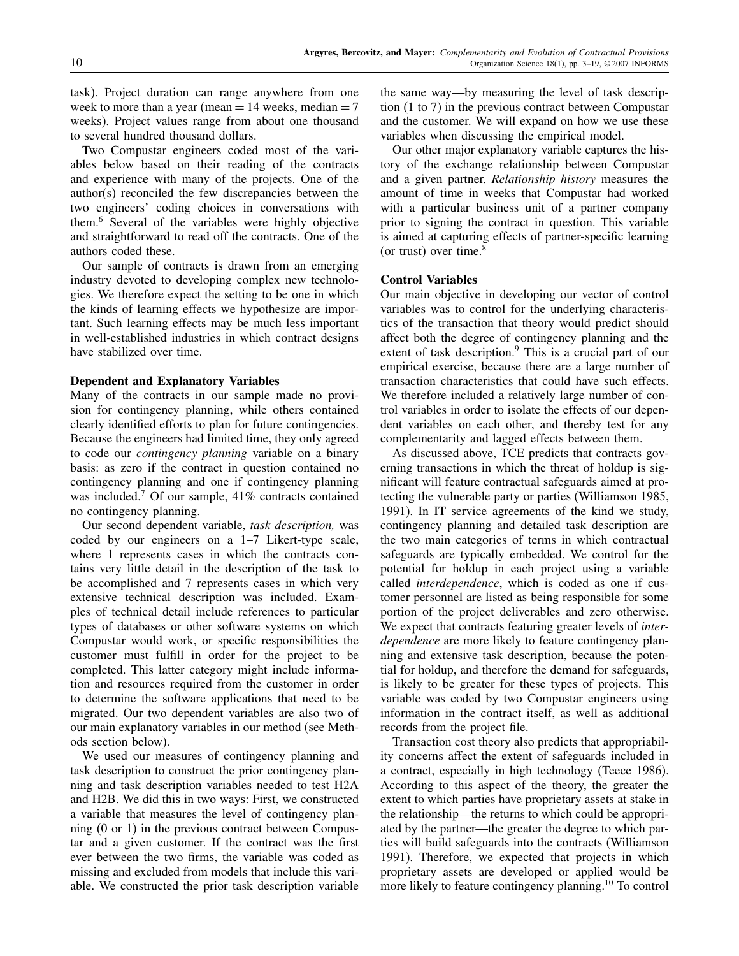task). Project duration can range anywhere from one week to more than a year (mean  $= 14$  weeks, median  $= 7$ weeks). Project values range from about one thousand to several hundred thousand dollars.

Two Compustar engineers coded most of the variables below based on their reading of the contracts and experience with many of the projects. One of the author(s) reconciled the few discrepancies between the two engineers' coding choices in conversations with them.6 Several of the variables were highly objective and straightforward to read off the contracts. One of the authors coded these.

Our sample of contracts is drawn from an emerging industry devoted to developing complex new technologies. We therefore expect the setting to be one in which the kinds of learning effects we hypothesize are important. Such learning effects may be much less important in well-established industries in which contract designs have stabilized over time.

#### Dependent and Explanatory Variables

Many of the contracts in our sample made no provision for contingency planning, while others contained clearly identified efforts to plan for future contingencies. Because the engineers had limited time, they only agreed to code our contingency planning variable on a binary basis: as zero if the contract in question contained no contingency planning and one if contingency planning was included.<sup>7</sup> Of our sample, 41% contracts contained no contingency planning.

Our second dependent variable, task description, was coded by our engineers on a 1–7 Likert-type scale, where 1 represents cases in which the contracts contains very little detail in the description of the task to be accomplished and 7 represents cases in which very extensive technical description was included. Examples of technical detail include references to particular types of databases or other software systems on which Compustar would work, or specific responsibilities the customer must fulfill in order for the project to be completed. This latter category might include information and resources required from the customer in order to determine the software applications that need to be migrated. Our two dependent variables are also two of our main explanatory variables in our method (see Methods section below).

We used our measures of contingency planning and task description to construct the prior contingency planning and task description variables needed to test H2A and H2B. We did this in two ways: First, we constructed a variable that measures the level of contingency planning (0 or 1) in the previous contract between Compustar and a given customer. If the contract was the first ever between the two firms, the variable was coded as missing and excluded from models that include this variable. We constructed the prior task description variable

the same way—by measuring the level of task description (1 to 7) in the previous contract between Compustar and the customer. We will expand on how we use these variables when discussing the empirical model.

Our other major explanatory variable captures the history of the exchange relationship between Compustar and a given partner. Relationship history measures the amount of time in weeks that Compustar had worked with a particular business unit of a partner company prior to signing the contract in question. This variable is aimed at capturing effects of partner-specific learning (or trust) over time. $8$ 

#### Control Variables

Our main objective in developing our vector of control variables was to control for the underlying characteristics of the transaction that theory would predict should affect both the degree of contingency planning and the extent of task description.<sup>9</sup> This is a crucial part of our empirical exercise, because there are a large number of transaction characteristics that could have such effects. We therefore included a relatively large number of control variables in order to isolate the effects of our dependent variables on each other, and thereby test for any complementarity and lagged effects between them.

As discussed above, TCE predicts that contracts governing transactions in which the threat of holdup is significant will feature contractual safeguards aimed at protecting the vulnerable party or parties (Williamson 1985, 1991). In IT service agreements of the kind we study, contingency planning and detailed task description are the two main categories of terms in which contractual safeguards are typically embedded. We control for the potential for holdup in each project using a variable called interdependence, which is coded as one if customer personnel are listed as being responsible for some portion of the project deliverables and zero otherwise. We expect that contracts featuring greater levels of *inter*dependence are more likely to feature contingency planning and extensive task description, because the potential for holdup, and therefore the demand for safeguards, is likely to be greater for these types of projects. This variable was coded by two Compustar engineers using information in the contract itself, as well as additional records from the project file.

Transaction cost theory also predicts that appropriability concerns affect the extent of safeguards included in a contract, especially in high technology (Teece 1986). According to this aspect of the theory, the greater the extent to which parties have proprietary assets at stake in the relationship—the returns to which could be appropriated by the partner—the greater the degree to which parties will build safeguards into the contracts (Williamson 1991). Therefore, we expected that projects in which proprietary assets are developed or applied would be more likely to feature contingency planning.<sup>10</sup> To control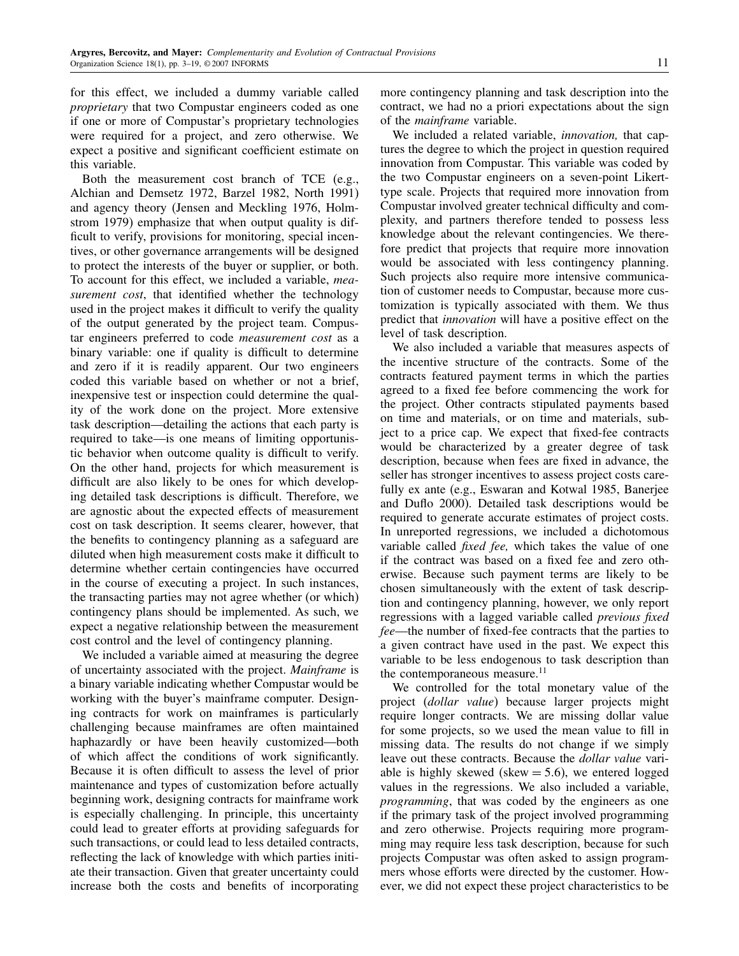for this effect, we included a dummy variable called proprietary that two Compustar engineers coded as one if one or more of Compustar's proprietary technologies were required for a project, and zero otherwise. We expect a positive and significant coefficient estimate on this variable.

Both the measurement cost branch of TCE (e.g., Alchian and Demsetz 1972, Barzel 1982, North 1991) and agency theory (Jensen and Meckling 1976, Holmstrom 1979) emphasize that when output quality is difficult to verify, provisions for monitoring, special incentives, or other governance arrangements will be designed to protect the interests of the buyer or supplier, or both. To account for this effect, we included a variable, measurement cost, that identified whether the technology used in the project makes it difficult to verify the quality of the output generated by the project team. Compustar engineers preferred to code measurement cost as a binary variable: one if quality is difficult to determine and zero if it is readily apparent. Our two engineers coded this variable based on whether or not a brief, inexpensive test or inspection could determine the quality of the work done on the project. More extensive task description—detailing the actions that each party is required to take—is one means of limiting opportunistic behavior when outcome quality is difficult to verify. On the other hand, projects for which measurement is difficult are also likely to be ones for which developing detailed task descriptions is difficult. Therefore, we are agnostic about the expected effects of measurement cost on task description. It seems clearer, however, that the benefits to contingency planning as a safeguard are diluted when high measurement costs make it difficult to determine whether certain contingencies have occurred in the course of executing a project. In such instances, the transacting parties may not agree whether (or which) contingency plans should be implemented. As such, we expect a negative relationship between the measurement cost control and the level of contingency planning.

We included a variable aimed at measuring the degree of uncertainty associated with the project. Mainframe is a binary variable indicating whether Compustar would be working with the buyer's mainframe computer. Designing contracts for work on mainframes is particularly challenging because mainframes are often maintained haphazardly or have been heavily customized—both of which affect the conditions of work significantly. Because it is often difficult to assess the level of prior maintenance and types of customization before actually beginning work, designing contracts for mainframe work is especially challenging. In principle, this uncertainty could lead to greater efforts at providing safeguards for such transactions, or could lead to less detailed contracts, reflecting the lack of knowledge with which parties initiate their transaction. Given that greater uncertainty could increase both the costs and benefits of incorporating

more contingency planning and task description into the contract, we had no a priori expectations about the sign of the mainframe variable.

We included a related variable, *innovation*, that captures the degree to which the project in question required innovation from Compustar. This variable was coded by the two Compustar engineers on a seven-point Likerttype scale. Projects that required more innovation from Compustar involved greater technical difficulty and complexity, and partners therefore tended to possess less knowledge about the relevant contingencies. We therefore predict that projects that require more innovation would be associated with less contingency planning. Such projects also require more intensive communication of customer needs to Compustar, because more customization is typically associated with them. We thus predict that innovation will have a positive effect on the level of task description.

We also included a variable that measures aspects of the incentive structure of the contracts. Some of the contracts featured payment terms in which the parties agreed to a fixed fee before commencing the work for the project. Other contracts stipulated payments based on time and materials, or on time and materials, subject to a price cap. We expect that fixed-fee contracts would be characterized by a greater degree of task description, because when fees are fixed in advance, the seller has stronger incentives to assess project costs carefully ex ante (e.g., Eswaran and Kotwal 1985, Banerjee and Duflo 2000). Detailed task descriptions would be required to generate accurate estimates of project costs. In unreported regressions, we included a dichotomous variable called *fixed fee*, which takes the value of one if the contract was based on a fixed fee and zero otherwise. Because such payment terms are likely to be chosen simultaneously with the extent of task description and contingency planning, however, we only report regressions with a lagged variable called previous fixed fee—the number of fixed-fee contracts that the parties to a given contract have used in the past. We expect this variable to be less endogenous to task description than the contemporaneous measure.<sup>11</sup>

We controlled for the total monetary value of the project (dollar value) because larger projects might require longer contracts. We are missing dollar value for some projects, so we used the mean value to fill in missing data. The results do not change if we simply leave out these contracts. Because the dollar value variable is highly skewed (skew  $= 5.6$ ), we entered logged values in the regressions. We also included a variable, programming, that was coded by the engineers as one if the primary task of the project involved programming and zero otherwise. Projects requiring more programming may require less task description, because for such projects Compustar was often asked to assign programmers whose efforts were directed by the customer. However, we did not expect these project characteristics to be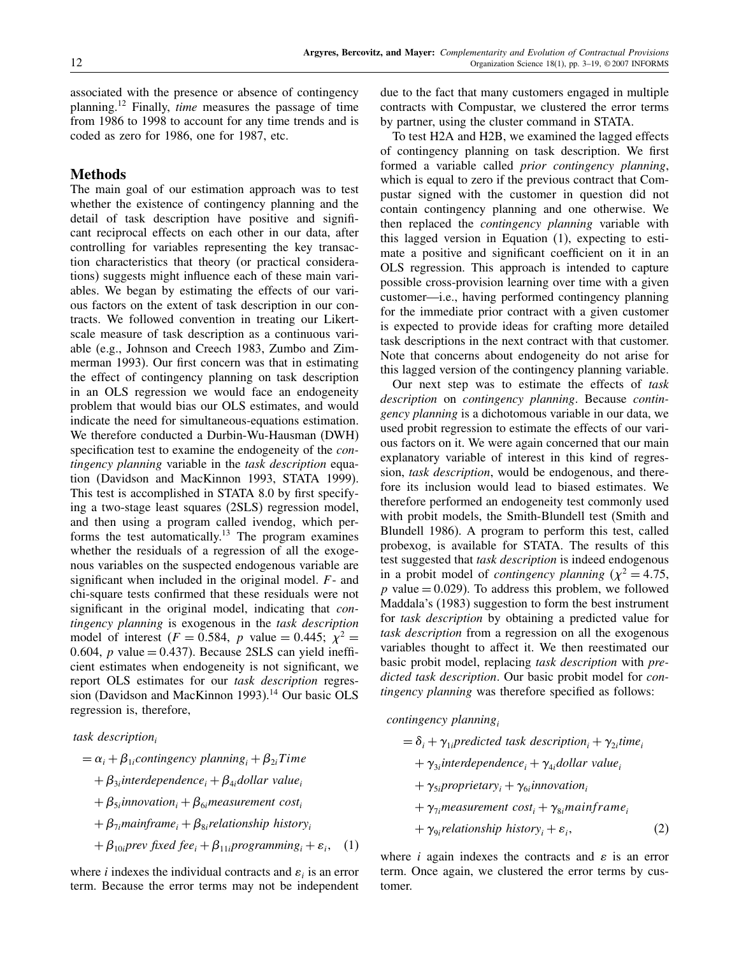associated with the presence or absence of contingency planning.<sup>12</sup> Finally, *time* measures the passage of time from 1986 to 1998 to account for any time trends and is coded as zero for 1986, one for 1987, etc.

# Methods

The main goal of our estimation approach was to test whether the existence of contingency planning and the detail of task description have positive and significant reciprocal effects on each other in our data, after controlling for variables representing the key transaction characteristics that theory (or practical considerations) suggests might influence each of these main variables. We began by estimating the effects of our various factors on the extent of task description in our contracts. We followed convention in treating our Likertscale measure of task description as a continuous variable (e.g., Johnson and Creech 1983, Zumbo and Zimmerman 1993). Our first concern was that in estimating the effect of contingency planning on task description in an OLS regression we would face an endogeneity problem that would bias our OLS estimates, and would indicate the need for simultaneous-equations estimation. We therefore conducted a Durbin-Wu-Hausman (DWH) specification test to examine the endogeneity of the *con*tingency planning variable in the task description equation (Davidson and MacKinnon 1993, STATA 1999). This test is accomplished in STATA 8.0 by first specifying a two-stage least squares (2SLS) regression model, and then using a program called ivendog, which performs the test automatically.<sup>13</sup> The program examines whether the residuals of a regression of all the exogenous variables on the suspected endogenous variable are significant when included in the original model.  $F$ - and chi-square tests confirmed that these residuals were not significant in the original model, indicating that *con*tingency planning is exogenous in the task description model of interest ( $F = 0.584$ , p value = 0.445;  $\chi^2$  = 0.604, p value  $= 0.437$ ). Because 2SLS can yield inefficient estimates when endogeneity is not significant, we report OLS estimates for our task description regression (Davidson and MacKinnon 1993).<sup>14</sup> Our basic OLS regression is, therefore,

task description,

- $= \alpha_i + \beta_{1i}$ contingency planning<sub>i</sub> +  $\beta_{2i}$ T ime  $+ \beta_{3i}$ interdependence<sub>i</sub> +  $\beta_{4i}$ dollar value<sub>i</sub> +  $\beta_{5i}$ innovation<sub>i</sub> +  $\beta_{6i}$ measurement cost<sub>i</sub> +  $\beta_{7i}$ mainframe<sub>i</sub> +  $\beta_{8i}$ relationship history<sub>i</sub>
	- $+ \beta_{10i}$ prev fixed fee<sub>i</sub> +  $\beta_{11i}$ programming<sub>i</sub> +  $\varepsilon_i$ , (1)

where *i* indexes the individual contracts and  $\varepsilon_i$  is an error term. Because the error terms may not be independent due to the fact that many customers engaged in multiple contracts with Compustar, we clustered the error terms by partner, using the cluster command in STATA.

To test H2A and H2B, we examined the lagged effects of contingency planning on task description. We first formed a variable called *prior contingency planning*, which is equal to zero if the previous contract that Compustar signed with the customer in question did not contain contingency planning and one otherwise. We then replaced the *contingency planning* variable with this lagged version in Equation (1), expecting to estimate a positive and significant coefficient on it in an OLS regression. This approach is intended to capture possible cross-provision learning over time with a given customer—i.e., having performed contingency planning for the immediate prior contract with a given customer is expected to provide ideas for crafting more detailed task descriptions in the next contract with that customer. Note that concerns about endogeneity do not arise for this lagged version of the contingency planning variable.

Our next step was to estimate the effects of task description on contingency planning. Because contingency planning is a dichotomous variable in our data, we used probit regression to estimate the effects of our various factors on it. We were again concerned that our main explanatory variable of interest in this kind of regression, task description, would be endogenous, and therefore its inclusion would lead to biased estimates. We therefore performed an endogeneity test commonly used with probit models, the Smith-Blundell test (Smith and Blundell 1986). A program to perform this test, called probexog, is available for STATA. The results of this test suggested that task description is indeed endogenous in a probit model of *contingency planning* ( $\chi^2 = 4.75$ , p value  $= 0.029$ ). To address this problem, we followed Maddala's (1983) suggestion to form the best instrument for task description by obtaining a predicted value for task description from a regression on all the exogenous variables thought to affect it. We then reestimated our basic probit model, replacing task description with predicted task description. Our basic probit model for contingency planning was therefore specified as follows:

contingency planning.

$$
= \delta_i + \gamma_{1i} predicted \ task \ description_i + \gamma_{2i} time_i
$$
  
+  $\gamma_{3i}$  *interdependence*  $i + \gamma_{4i} dollar \ value_i$   
+  $\gamma_{5i} propertiesary_i + \gamma_{6i} innovation_i$   
+  $\gamma_{7i} measurement \ cost_i + \gamma_{8i} mainframe_i$   
+  $\gamma_{9i} relationship \ history_i + \varepsilon_i,$  (2)

where *i* again indexes the contracts and  $\varepsilon$  is an error term. Once again, we clustered the error terms by customer.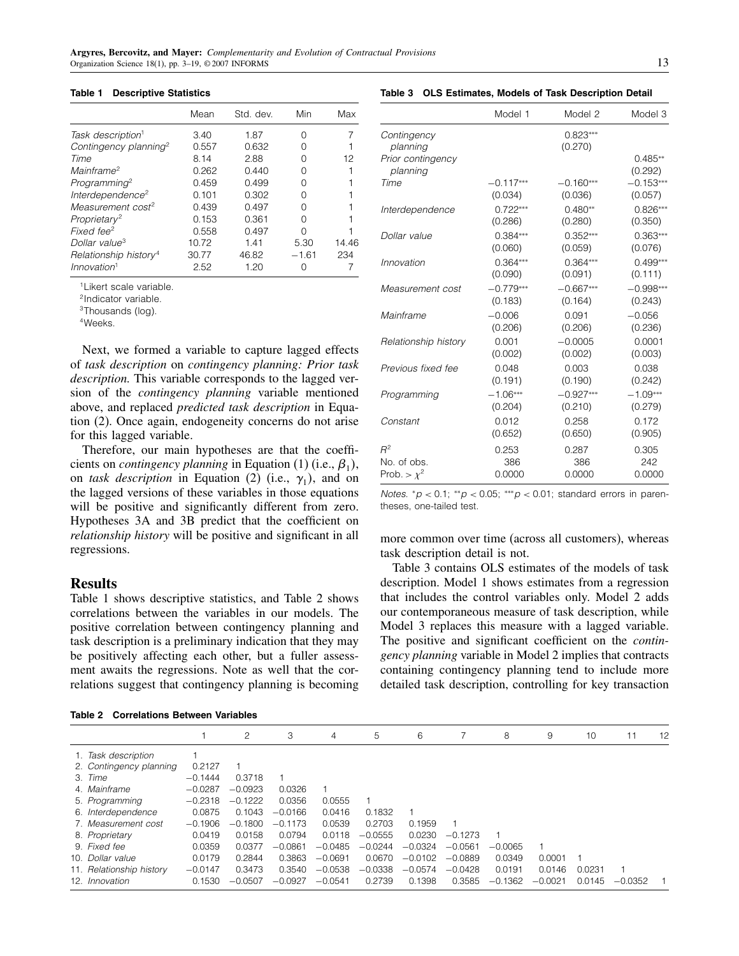#### Table 1 Descriptive Statistics

|                                   | Mean  | Std. dev. | Min     | Max   |
|-----------------------------------|-------|-----------|---------|-------|
| Task description <sup>1</sup>     | 3.40  | 1.87      | ∩       |       |
| Contingency planning <sup>2</sup> | 0.557 | 0.632     |         |       |
| Time                              | 8.14  | 2.88      | ∩       | 12    |
| Mainframe <sup>2</sup>            | 0.262 | 0.440     | O       |       |
| Programming <sup>2</sup>          | 0.459 | 0.499     |         |       |
| Interdependence <sup>2</sup>      | 0.101 | 0.302     | ∩       |       |
| Measurement cost <sup>2</sup>     | 0.439 | 0.497     | ∩       |       |
| Proprietary <sup>2</sup>          | 0.153 | 0.361     |         |       |
| Fixed fee <sup>2</sup>            | 0.558 | 0.497     | ∩       |       |
| Dollar value <sup>3</sup>         | 10.72 | 141       | 5.30    | 14.46 |
| Relationship history <sup>4</sup> | 30.77 | 46.82     | $-1.61$ | 234   |
| Innovation <sup>1</sup>           | 2.52  | 1.20      |         |       |

<sup>1</sup>Likert scale variable.

<sup>2</sup>Indicator variable.

<sup>3</sup>Thousands (log).

4Weeks.

Next, we formed a variable to capture lagged effects of task description on contingency planning: Prior task description. This variable corresponds to the lagged version of the contingency planning variable mentioned above, and replaced predicted task description in Equation (2). Once again, endogeneity concerns do not arise for this lagged variable.

Therefore, our main hypotheses are that the coefficients on *contingency planning* in Equation (1) (i.e.,  $\beta_1$ ), on task description in Equation (2) (i.e.,  $\gamma_1$ ), and on the lagged versions of these variables in those equations will be positive and significantly different from zero. Hypotheses 3A and 3B predict that the coefficient on relationship history will be positive and significant in all regressions.

## **Results**

Table 1 shows descriptive statistics, and Table 2 shows correlations between the variables in our models. The positive correlation between contingency planning and task description is a preliminary indication that they may be positively affecting each other, but a fuller assessment awaits the regressions. Note as well that the correlations suggest that contingency planning is becoming

|  | <b>Table 2 Correlations Between Variables</b> |  |  |
|--|-----------------------------------------------|--|--|
|--|-----------------------------------------------|--|--|

|                               | Model 1     | Model 2               | Model 3              |
|-------------------------------|-------------|-----------------------|----------------------|
| Contingency<br>planning       |             | $0.823***$<br>(0.270) |                      |
| Prior contingency<br>planning |             |                       | $0.485**$<br>(0.292) |
| Time                          | $-0.117***$ | $-0.160***$           | $-0.153***$          |
|                               | (0.034)     | (0.036)               | (0.057)              |
| Interdependence               | $0.722***$  | $0.480**$             | $0.826***$           |
|                               | (0.286)     | (0.280)               | (0.350)              |
| Dollar value                  | $0.384***$  | $0.352***$            | $0.363***$           |
|                               | (0.060)     | (0.059)               | (0.076)              |
| Innovation                    | $0.364***$  | $0.364***$            | $0.499***$           |
|                               | (0.090)     | (0.091)               | (0.111)              |
| Measurement cost              | $-0.779***$ | $-0.667***$           | $-0.998***$          |
|                               | (0.183)     | (0.164)               | (0.243)              |
| Mainframe                     | $-0.006$    | 0.091                 | $-0.056$             |
|                               | (0.206)     | (0.206)               | (0.236)              |
| Relationship history          | 0.001       | $-0.0005$             | 0.0001               |
|                               | (0.002)     | (0.002)               | (0.003)              |
| Previous fixed fee            | 0.048       | 0.003                 | 0.038                |
|                               | (0.191)     | (0.190)               | (0.242)              |
| Programming                   | $-1.06***$  | $-0.927***$           | $-1.09***$           |
|                               | (0.204)     | (0.210)               | (0.279)              |
| Constant                      | 0.012       | 0.258                 | 0.172                |
|                               | (0.652)     | (0.650)               | (0.905)              |
| R2                            | 0.253       | 0.287                 | 0.305                |
| No. of obs.                   | 386         | 386                   | 242                  |
| Prob. > $\chi^2$              | 0.0000      | 0.0000                | 0.0000               |

Notes. \* $p < 0.1$ ; \*\* $p < 0.05$ ; \*\*\* $p < 0.01$ ; standard errors in parentheses, one-tailed test.

more common over time (across all customers), whereas task description detail is not.

Table 3 contains OLS estimates of the models of task description. Model 1 shows estimates from a regression that includes the control variables only. Model 2 adds our contemporaneous measure of task description, while Model 3 replaces this measure with a lagged variable. The positive and significant coefficient on the *contin*gency planning variable in Model 2 implies that contracts containing contingency planning tend to include more detailed task description, controlling for key transaction

|                          |           | 2         | 3         | 4         | 5         | 6         |           | 8         | 9         | 10     | 11        | 12 |
|--------------------------|-----------|-----------|-----------|-----------|-----------|-----------|-----------|-----------|-----------|--------|-----------|----|
| 1. Task description      |           |           |           |           |           |           |           |           |           |        |           |    |
| 2. Contingency planning  | 0.2127    |           |           |           |           |           |           |           |           |        |           |    |
| 3. Time                  | $-0.1444$ | 0.3718    |           |           |           |           |           |           |           |        |           |    |
| 4. Mainframe             | $-0.0287$ | $-0.0923$ | 0.0326    |           |           |           |           |           |           |        |           |    |
| 5. Programming           | $-0.2318$ | $-0.1222$ | 0.0356    | 0.0555    |           |           |           |           |           |        |           |    |
| 6. Interdependence       | 0.0875    | 0.1043    | $-0.0166$ | 0.0416    | 0.1832    |           |           |           |           |        |           |    |
| 7. Measurement cost      | $-0.1906$ | $-0.1800$ | $-0.1173$ | 0.0539    | 0.2703    | 0.1959    |           |           |           |        |           |    |
| 8. Proprietary           | 0.0419    | 0.0158    | 0.0794    | 0.0118    | $-0.0555$ | 0.0230    | $-0.1273$ |           |           |        |           |    |
| 9. Fixed fee             | 0.0359    | 0.0377    | $-0.0861$ | $-0.0485$ | $-0.0244$ | $-0.0324$ | $-0.0561$ | $-0.0065$ |           |        |           |    |
| 10. Dollar value         | 0.0179    | 0.2844    | 0.3863    | $-0.0691$ | 0.0670    | $-0.0102$ | $-0.0889$ | 0.0349    | 0.0001    |        |           |    |
| 11. Relationship history | $-0.0147$ | 0.3473    | 0.3540    | $-0.0538$ | $-0.0338$ | $-0.0574$ | $-0.0428$ | 0.0191    | 0.0146    | 0.0231 |           |    |
| 12. Innovation           | 0.1530    | $-0.0507$ | $-0.0927$ | $-0.0541$ | 0.2739    | 0.1398    | 0.3585    | $-0.1362$ | $-0.0021$ | 0.0145 | $-0.0352$ |    |
|                          |           |           |           |           |           |           |           |           |           |        |           |    |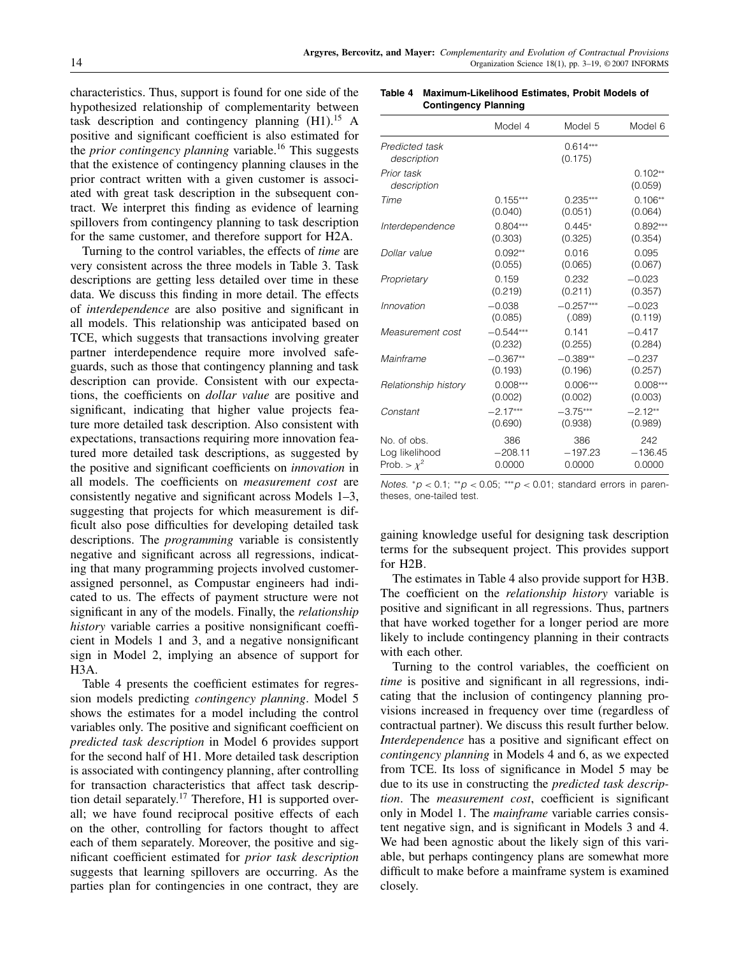characteristics. Thus, support is found for one side of the hypothesized relationship of complementarity between task description and contingency planning  $(H1)$ .<sup>15</sup> A positive and significant coefficient is also estimated for the *prior contingency planning* variable.<sup>16</sup> This suggests that the existence of contingency planning clauses in the prior contract written with a given customer is associated with great task description in the subsequent contract. We interpret this finding as evidence of learning spillovers from contingency planning to task description for the same customer, and therefore support for H2A.

Turning to the control variables, the effects of time are very consistent across the three models in Table 3. Task descriptions are getting less detailed over time in these data. We discuss this finding in more detail. The effects of interdependence are also positive and significant in all models. This relationship was anticipated based on TCE, which suggests that transactions involving greater partner interdependence require more involved safeguards, such as those that contingency planning and task description can provide. Consistent with our expectations, the coefficients on dollar value are positive and significant, indicating that higher value projects feature more detailed task description. Also consistent with expectations, transactions requiring more innovation featured more detailed task descriptions, as suggested by the positive and significant coefficients on innovation in all models. The coefficients on measurement cost are consistently negative and significant across Models 1–3, suggesting that projects for which measurement is difficult also pose difficulties for developing detailed task descriptions. The programming variable is consistently negative and significant across all regressions, indicating that many programming projects involved customerassigned personnel, as Compustar engineers had indicated to us. The effects of payment structure were not significant in any of the models. Finally, the *relationship* history variable carries a positive nonsignificant coefficient in Models 1 and 3, and a negative nonsignificant sign in Model 2, implying an absence of support for H3A.

Table 4 presents the coefficient estimates for regression models predicting contingency planning. Model 5 shows the estimates for a model including the control variables only. The positive and significant coefficient on predicted task description in Model 6 provides support for the second half of H1. More detailed task description is associated with contingency planning, after controlling for transaction characteristics that affect task description detail separately.17 Therefore, H1 is supported overall; we have found reciprocal positive effects of each on the other, controlling for factors thought to affect each of them separately. Moreover, the positive and significant coefficient estimated for prior task description suggests that learning spillovers are occurring. As the parties plan for contingencies in one contract, they are

Table 4 Maximum-Likelihood Estimates, Probit Models of Contingency Planning

|                           | Model 4     | Model 5     | Model 6              |
|---------------------------|-------------|-------------|----------------------|
| Predicted task            |             | $0.614***$  |                      |
| description               |             | (0.175)     |                      |
| Prior task<br>description |             |             | $0.102**$<br>(0.059) |
| Time                      | $0.155***$  | $0.235***$  | $0.106**$            |
|                           | (0.040)     | (0.051)     | (0.064)              |
| Interdependence           | $0.804***$  | $0.445*$    | $0.892***$           |
|                           | (0.303)     | (0.325)     | (0.354)              |
| Dollar value              | $0.092**$   | 0.016       | 0.095                |
|                           | (0.055)     | (0.065)     | (0.067)              |
| Proprietary               | 0.159       | 0.232       | $-0.023$             |
|                           | (0.219)     | (0.211)     | (0.357)              |
| Innovation                | $-0.038$    | $-0.257***$ | $-0.023$             |
|                           | (0.085)     | (.089)      | (0.119)              |
| Measurement cost          | $-0.544***$ | 0.141       | $-0.417$             |
|                           | (0.232)     | (0.255)     | (0.284)              |
| Mainframe                 | $-0.367**$  | $-0.389**$  | $-0.237$             |
|                           | (0.193)     | (0.196)     | (0.257)              |
| Relationship history      | $0.008***$  | $0.006***$  | $0.008***$           |
|                           | (0.002)     | (0.002)     | (0.003)              |
| Constant                  | $-2.17***$  | $-3.75***$  | $-2.12**$            |
|                           | (0.690)     | (0.938)     | (0.989)              |
| No. of obs.               | 386         | 386         | 242                  |
| Log likelihood            | $-208.11$   | $-197.23$   | $-136.45$            |
| Prob. > $\chi^2$          | 0.0000      | 0.0000      | 0.0000               |

Notes.  ${}^*p$  < 0.1;  ${}^{**}p$  < 0.05;  ${}^{***}p$  < 0.01; standard errors in parentheses, one-tailed test.

gaining knowledge useful for designing task description terms for the subsequent project. This provides support for H2B.

The estimates in Table 4 also provide support for H3B. The coefficient on the *relationship* history variable is positive and significant in all regressions. Thus, partners that have worked together for a longer period are more likely to include contingency planning in their contracts with each other.

Turning to the control variables, the coefficient on time is positive and significant in all regressions, indicating that the inclusion of contingency planning provisions increased in frequency over time (regardless of contractual partner). We discuss this result further below. Interdependence has a positive and significant effect on contingency planning in Models 4 and 6, as we expected from TCE. Its loss of significance in Model 5 may be due to its use in constructing the predicted task description. The measurement cost, coefficient is significant only in Model 1. The mainframe variable carries consistent negative sign, and is significant in Models 3 and 4. We had been agnostic about the likely sign of this variable, but perhaps contingency plans are somewhat more difficult to make before a mainframe system is examined closely.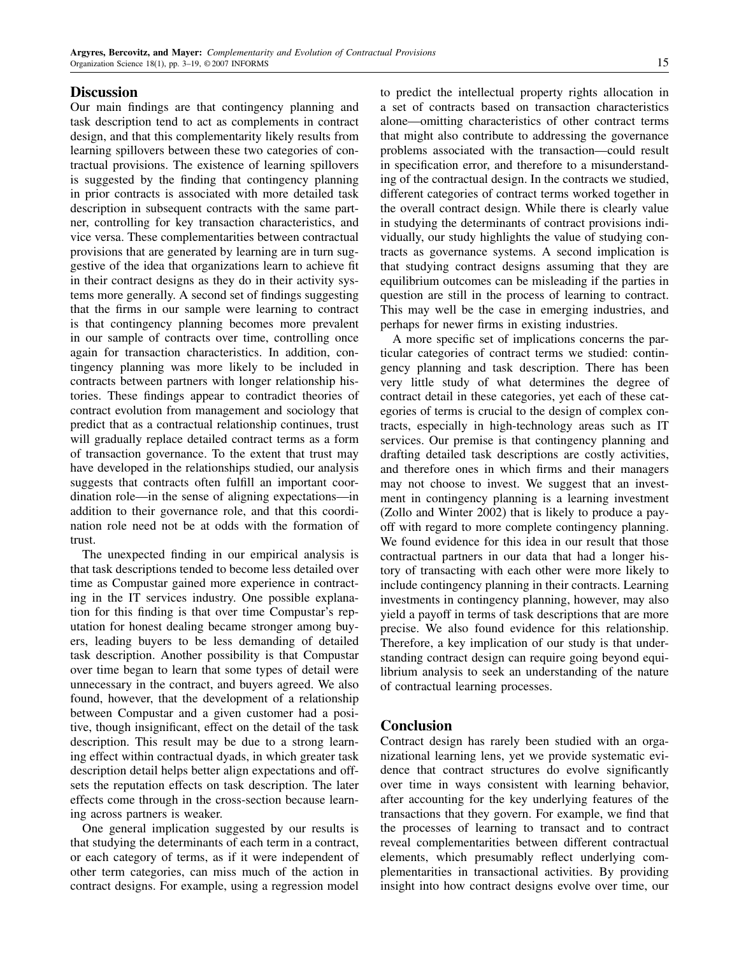# **Discussion**

Our main findings are that contingency planning and task description tend to act as complements in contract design, and that this complementarity likely results from learning spillovers between these two categories of contractual provisions. The existence of learning spillovers is suggested by the finding that contingency planning in prior contracts is associated with more detailed task description in subsequent contracts with the same partner, controlling for key transaction characteristics, and vice versa. These complementarities between contractual provisions that are generated by learning are in turn suggestive of the idea that organizations learn to achieve fit in their contract designs as they do in their activity systems more generally. A second set of findings suggesting that the firms in our sample were learning to contract is that contingency planning becomes more prevalent in our sample of contracts over time, controlling once again for transaction characteristics. In addition, contingency planning was more likely to be included in contracts between partners with longer relationship histories. These findings appear to contradict theories of contract evolution from management and sociology that predict that as a contractual relationship continues, trust will gradually replace detailed contract terms as a form of transaction governance. To the extent that trust may have developed in the relationships studied, our analysis suggests that contracts often fulfill an important coordination role—in the sense of aligning expectations—in addition to their governance role, and that this coordination role need not be at odds with the formation of trust.

The unexpected finding in our empirical analysis is that task descriptions tended to become less detailed over time as Compustar gained more experience in contracting in the IT services industry. One possible explanation for this finding is that over time Compustar's reputation for honest dealing became stronger among buyers, leading buyers to be less demanding of detailed task description. Another possibility is that Compustar over time began to learn that some types of detail were unnecessary in the contract, and buyers agreed. We also found, however, that the development of a relationship between Compustar and a given customer had a positive, though insignificant, effect on the detail of the task description. This result may be due to a strong learning effect within contractual dyads, in which greater task description detail helps better align expectations and offsets the reputation effects on task description. The later effects come through in the cross-section because learning across partners is weaker.

One general implication suggested by our results is that studying the determinants of each term in a contract, or each category of terms, as if it were independent of other term categories, can miss much of the action in contract designs. For example, using a regression model

to predict the intellectual property rights allocation in a set of contracts based on transaction characteristics alone—omitting characteristics of other contract terms that might also contribute to addressing the governance problems associated with the transaction—could result in specification error, and therefore to a misunderstanding of the contractual design. In the contracts we studied, different categories of contract terms worked together in the overall contract design. While there is clearly value in studying the determinants of contract provisions individually, our study highlights the value of studying contracts as governance systems. A second implication is that studying contract designs assuming that they are equilibrium outcomes can be misleading if the parties in question are still in the process of learning to contract. This may well be the case in emerging industries, and perhaps for newer firms in existing industries.

A more specific set of implications concerns the particular categories of contract terms we studied: contingency planning and task description. There has been very little study of what determines the degree of contract detail in these categories, yet each of these categories of terms is crucial to the design of complex contracts, especially in high-technology areas such as IT services. Our premise is that contingency planning and drafting detailed task descriptions are costly activities, and therefore ones in which firms and their managers may not choose to invest. We suggest that an investment in contingency planning is a learning investment (Zollo and Winter 2002) that is likely to produce a payoff with regard to more complete contingency planning. We found evidence for this idea in our result that those contractual partners in our data that had a longer history of transacting with each other were more likely to include contingency planning in their contracts. Learning investments in contingency planning, however, may also yield a payoff in terms of task descriptions that are more precise. We also found evidence for this relationship. Therefore, a key implication of our study is that understanding contract design can require going beyond equilibrium analysis to seek an understanding of the nature of contractual learning processes.

# Conclusion

Contract design has rarely been studied with an organizational learning lens, yet we provide systematic evidence that contract structures do evolve significantly over time in ways consistent with learning behavior, after accounting for the key underlying features of the transactions that they govern. For example, we find that the processes of learning to transact and to contract reveal complementarities between different contractual elements, which presumably reflect underlying complementarities in transactional activities. By providing insight into how contract designs evolve over time, our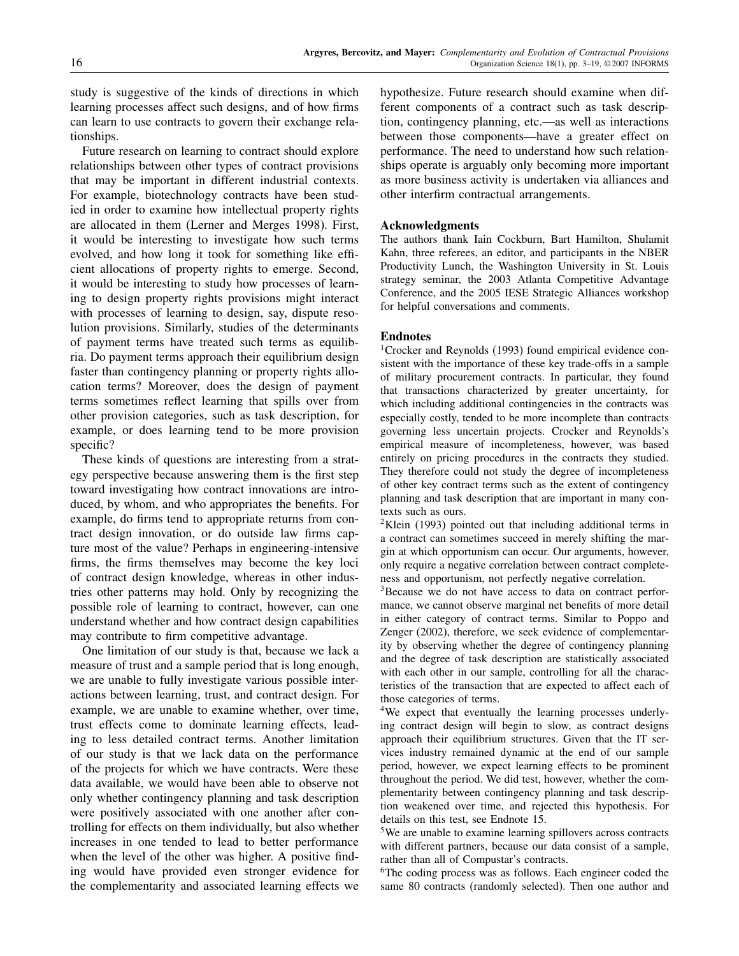study is suggestive of the kinds of directions in which learning processes affect such designs, and of how firms can learn to use contracts to govern their exchange relationships.

Future research on learning to contract should explore relationships between other types of contract provisions that may be important in different industrial contexts. For example, biotechnology contracts have been studied in order to examine how intellectual property rights are allocated in them (Lerner and Merges 1998). First, it would be interesting to investigate how such terms evolved, and how long it took for something like efficient allocations of property rights to emerge. Second, it would be interesting to study how processes of learning to design property rights provisions might interact with processes of learning to design, say, dispute resolution provisions. Similarly, studies of the determinants of payment terms have treated such terms as equilibria. Do payment terms approach their equilibrium design faster than contingency planning or property rights allocation terms? Moreover, does the design of payment terms sometimes reflect learning that spills over from other provision categories, such as task description, for example, or does learning tend to be more provision specific?

These kinds of questions are interesting from a strategy perspective because answering them is the first step toward investigating how contract innovations are introduced, by whom, and who appropriates the benefits. For example, do firms tend to appropriate returns from contract design innovation, or do outside law firms capture most of the value? Perhaps in engineering-intensive firms, the firms themselves may become the key loci of contract design knowledge, whereas in other industries other patterns may hold. Only by recognizing the possible role of learning to contract, however, can one understand whether and how contract design capabilities may contribute to firm competitive advantage.

One limitation of our study is that, because we lack a measure of trust and a sample period that is long enough, we are unable to fully investigate various possible interactions between learning, trust, and contract design. For example, we are unable to examine whether, over time, trust effects come to dominate learning effects, leading to less detailed contract terms. Another limitation of our study is that we lack data on the performance of the projects for which we have contracts. Were these data available, we would have been able to observe not only whether contingency planning and task description were positively associated with one another after controlling for effects on them individually, but also whether increases in one tended to lead to better performance when the level of the other was higher. A positive finding would have provided even stronger evidence for the complementarity and associated learning effects we

hypothesize. Future research should examine when different components of a contract such as task description, contingency planning, etc.—as well as interactions between those components—have a greater effect on performance. The need to understand how such relationships operate is arguably only becoming more important as more business activity is undertaken via alliances and other interfirm contractual arrangements.

#### Acknowledgments

The authors thank Iain Cockburn, Bart Hamilton, Shulamit Kahn, three referees, an editor, and participants in the NBER Productivity Lunch, the Washington University in St. Louis strategy seminar, the 2003 Atlanta Competitive Advantage Conference, and the 2005 IESE Strategic Alliances workshop for helpful conversations and comments.

#### Endnotes

<sup>1</sup>Crocker and Reynolds (1993) found empirical evidence consistent with the importance of these key trade-offs in a sample of military procurement contracts. In particular, they found that transactions characterized by greater uncertainty, for which including additional contingencies in the contracts was especially costly, tended to be more incomplete than contracts governing less uncertain projects. Crocker and Reynolds's empirical measure of incompleteness, however, was based entirely on pricing procedures in the contracts they studied. They therefore could not study the degree of incompleteness of other key contract terms such as the extent of contingency planning and task description that are important in many contexts such as ours.

 $2$ Klein (1993) pointed out that including additional terms in a contract can sometimes succeed in merely shifting the margin at which opportunism can occur. Our arguments, however, only require a negative correlation between contract completeness and opportunism, not perfectly negative correlation.

<sup>3</sup>Because we do not have access to data on contract performance, we cannot observe marginal net benefits of more detail in either category of contract terms. Similar to Poppo and Zenger (2002), therefore, we seek evidence of complementarity by observing whether the degree of contingency planning and the degree of task description are statistically associated with each other in our sample, controlling for all the characteristics of the transaction that are expected to affect each of those categories of terms.

4We expect that eventually the learning processes underlying contract design will begin to slow, as contract designs approach their equilibrium structures. Given that the IT services industry remained dynamic at the end of our sample period, however, we expect learning effects to be prominent throughout the period. We did test, however, whether the complementarity between contingency planning and task description weakened over time, and rejected this hypothesis. For details on this test, see Endnote 15.

<sup>5</sup>We are unable to examine learning spillovers across contracts with different partners, because our data consist of a sample, rather than all of Compustar's contracts.

<sup>6</sup>The coding process was as follows. Each engineer coded the same 80 contracts (randomly selected). Then one author and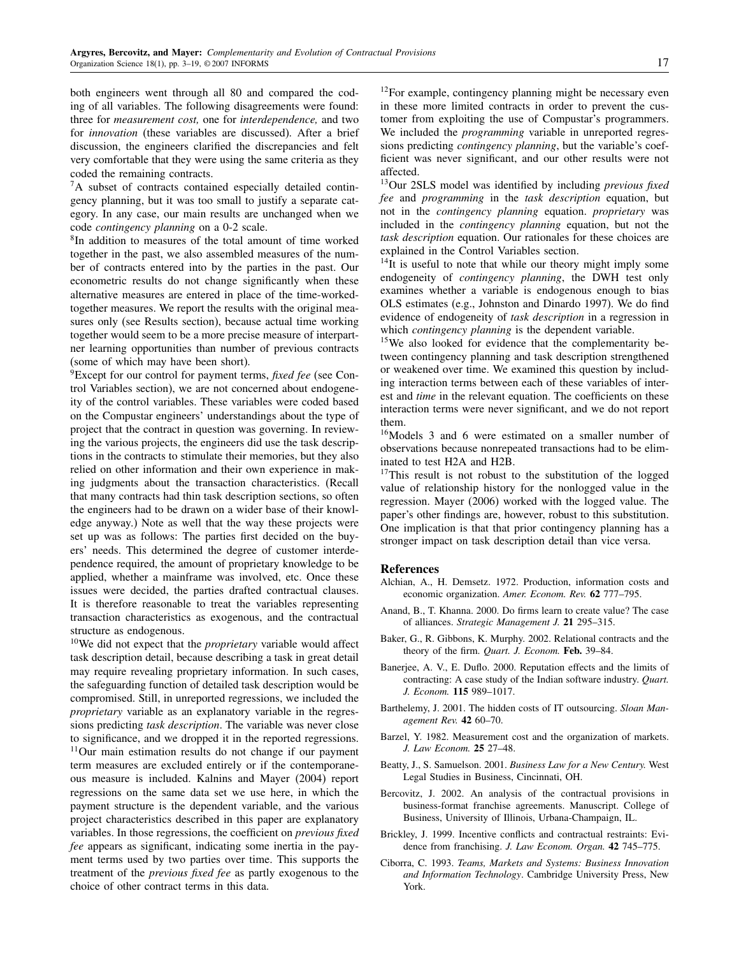both engineers went through all 80 and compared the coding of all variables. The following disagreements were found: three for measurement cost, one for interdependence, and two for innovation (these variables are discussed). After a brief discussion, the engineers clarified the discrepancies and felt very comfortable that they were using the same criteria as they coded the remaining contracts.

<sup>7</sup>A subset of contracts contained especially detailed contingency planning, but it was too small to justify a separate category. In any case, our main results are unchanged when we code contingency planning on a 0-2 scale.

8In addition to measures of the total amount of time worked together in the past, we also assembled measures of the number of contracts entered into by the parties in the past. Our econometric results do not change significantly when these alternative measures are entered in place of the time-workedtogether measures. We report the results with the original measures only (see Results section), because actual time working together would seem to be a more precise measure of interpartner learning opportunities than number of previous contracts (some of which may have been short).

 $9$ Except for our control for payment terms, fixed fee (see Control Variables section), we are not concerned about endogeneity of the control variables. These variables were coded based on the Compustar engineers' understandings about the type of project that the contract in question was governing. In reviewing the various projects, the engineers did use the task descriptions in the contracts to stimulate their memories, but they also relied on other information and their own experience in making judgments about the transaction characteristics. (Recall that many contracts had thin task description sections, so often the engineers had to be drawn on a wider base of their knowledge anyway.) Note as well that the way these projects were set up was as follows: The parties first decided on the buyers' needs. This determined the degree of customer interdependence required, the amount of proprietary knowledge to be applied, whether a mainframe was involved, etc. Once these issues were decided, the parties drafted contractual clauses. It is therefore reasonable to treat the variables representing transaction characteristics as exogenous, and the contractual structure as endogenous.

 $10$ We did not expect that the *proprietary* variable would affect task description detail, because describing a task in great detail may require revealing proprietary information. In such cases, the safeguarding function of detailed task description would be compromised. Still, in unreported regressions, we included the proprietary variable as an explanatory variable in the regressions predicting task description. The variable was never close to significance, and we dropped it in the reported regressions. 11Our main estimation results do not change if our payment term measures are excluded entirely or if the contemporaneous measure is included. Kalnins and Mayer (2004) report regressions on the same data set we use here, in which the payment structure is the dependent variable, and the various project characteristics described in this paper are explanatory variables. In those regressions, the coefficient on previous fixed fee appears as significant, indicating some inertia in the payment terms used by two parties over time. This supports the treatment of the previous fixed fee as partly exogenous to the choice of other contract terms in this data.

<sup>12</sup>For example, contingency planning might be necessary even in these more limited contracts in order to prevent the customer from exploiting the use of Compustar's programmers. We included the *programming* variable in unreported regressions predicting contingency planning, but the variable's coefficient was never significant, and our other results were not affected.

<sup>13</sup>Our 2SLS model was identified by including *previous fixed* fee and programming in the task description equation, but not in the contingency planning equation. proprietary was included in the contingency planning equation, but not the task description equation. Our rationales for these choices are explained in the Control Variables section.

 $14$ It is useful to note that while our theory might imply some endogeneity of contingency planning, the DWH test only examines whether a variable is endogenous enough to bias OLS estimates (e.g., Johnston and Dinardo 1997). We do find evidence of endogeneity of task description in a regression in which *contingency planning* is the dependent variable.

<sup>15</sup>We also looked for evidence that the complementarity between contingency planning and task description strengthened or weakened over time. We examined this question by including interaction terms between each of these variables of interest and time in the relevant equation. The coefficients on these interaction terms were never significant, and we do not report them.

16Models 3 and 6 were estimated on a smaller number of observations because nonrepeated transactions had to be eliminated to test H2A and H2B.

 $17$ This result is not robust to the substitution of the logged value of relationship history for the nonlogged value in the regression. Mayer (2006) worked with the logged value. The paper's other findings are, however, robust to this substitution. One implication is that that prior contingency planning has a stronger impact on task description detail than vice versa.

#### References

- Alchian, A., H. Demsetz. 1972. Production, information costs and economic organization. Amer. Econom. Rev. 62 777–795.
- Anand, B., T. Khanna. 2000. Do firms learn to create value? The case of alliances. Strategic Management J. 21 295–315.
- Baker, G., R. Gibbons, K. Murphy. 2002. Relational contracts and the theory of the firm. Quart. J. Econom. Feb. 39-84.
- Banerjee, A. V., E. Duflo. 2000. Reputation effects and the limits of contracting: A case study of the Indian software industry. Quart. J. Econom. 115 989–1017.
- Barthelemy, J. 2001. The hidden costs of IT outsourcing. Sloan Management Rev. 42 60–70.
- Barzel, Y. 1982. Measurement cost and the organization of markets. J. Law Econom. 25 27–48.
- Beatty, J., S. Samuelson. 2001. Business Law for a New Century. West Legal Studies in Business, Cincinnati, OH.
- Bercovitz, J. 2002. An analysis of the contractual provisions in business-format franchise agreements. Manuscript. College of Business, University of Illinois, Urbana-Champaign, IL.
- Brickley, J. 1999. Incentive conflicts and contractual restraints: Evidence from franchising. J. Law Econom. Organ. 42 745–775.
- Ciborra, C. 1993. Teams, Markets and Systems: Business Innovation and Information Technology. Cambridge University Press, New York.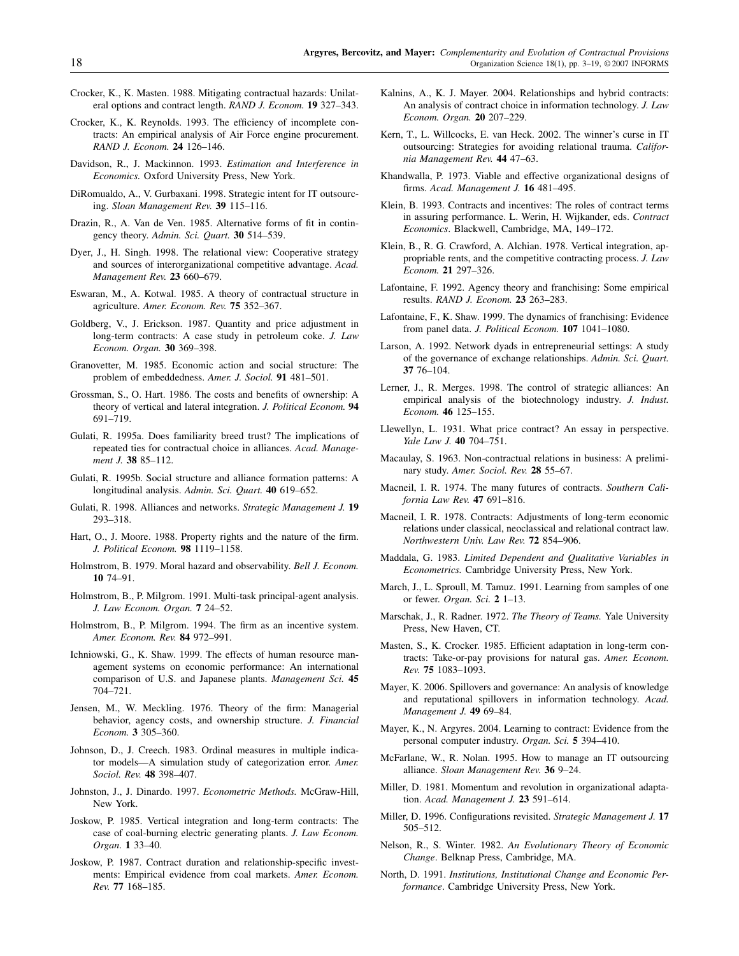- Crocker, K., K. Masten. 1988. Mitigating contractual hazards: Unilateral options and contract length. RAND J. Econom. 19 327–343.
- Crocker, K., K. Reynolds. 1993. The efficiency of incomplete contracts: An empirical analysis of Air Force engine procurement. RAND J. Econom. 24 126–146.
- Davidson, R., J. Mackinnon. 1993. Estimation and Interference in Economics. Oxford University Press, New York.
- DiRomualdo, A., V. Gurbaxani. 1998. Strategic intent for IT outsourcing. Sloan Management Rev. 39 115–116.
- Drazin, R., A. Van de Ven. 1985. Alternative forms of fit in contingency theory. Admin. Sci. Quart. 30 514-539.
- Dyer, J., H. Singh. 1998. The relational view: Cooperative strategy and sources of interorganizational competitive advantage. Acad. Management Rev. 23 660-679.
- Eswaran, M., A. Kotwal. 1985. A theory of contractual structure in agriculture. Amer. Econom. Rev. 75 352-367.
- Goldberg, V., J. Erickson. 1987. Quantity and price adjustment in long-term contracts: A case study in petroleum coke. J. Law Econom. Organ. 30 369–398.
- Granovetter, M. 1985. Economic action and social structure: The problem of embeddedness. Amer. J. Sociol. 91 481–501.
- Grossman, S., O. Hart. 1986. The costs and benefits of ownership: A theory of vertical and lateral integration. J. Political Econom. 94 691–719.
- Gulati, R. 1995a. Does familiarity breed trust? The implications of repeated ties for contractual choice in alliances. Acad. Management J. 38 85-112.
- Gulati, R. 1995b. Social structure and alliance formation patterns: A longitudinal analysis. Admin. Sci. Quart. 40 619–652.
- Gulati, R. 1998. Alliances and networks. Strategic Management J. 19 293–318.
- Hart, O., J. Moore. 1988. Property rights and the nature of the firm. J. Political Econom. 98 1119–1158.
- Holmstrom, B. 1979. Moral hazard and observability. Bell J. Econom. 10 74–91.
- Holmstrom, B., P. Milgrom. 1991. Multi-task principal-agent analysis. J. Law Econom. Organ. 7 24–52.
- Holmstrom, B., P. Milgrom. 1994. The firm as an incentive system. Amer. Econom. Rev. 84 972–991.
- Ichniowski, G., K. Shaw. 1999. The effects of human resource management systems on economic performance: An international comparison of U.S. and Japanese plants. Management Sci. 45 704–721.
- Jensen, M., W. Meckling. 1976. Theory of the firm: Managerial behavior, agency costs, and ownership structure. J. Financial Econom. 3 305–360.
- Johnson, D., J. Creech. 1983. Ordinal measures in multiple indicator models—A simulation study of categorization error. Amer. Sociol. Rev. 48 398–407.
- Johnston, J., J. Dinardo. 1997. Econometric Methods. McGraw-Hill, New York.
- Joskow, P. 1985. Vertical integration and long-term contracts: The case of coal-burning electric generating plants. J. Law Econom. Organ. 1 33–40.
- Joskow, P. 1987. Contract duration and relationship-specific investments: Empirical evidence from coal markets. Amer. Econom. Rev. 77 168–185.
- Kalnins, A., K. J. Mayer. 2004. Relationships and hybrid contracts: An analysis of contract choice in information technology. J. Law Econom. Organ. 20 207–229.
- Kern, T., L. Willcocks, E. van Heck. 2002. The winner's curse in IT outsourcing: Strategies for avoiding relational trauma. California Management Rev. 44 47–63.
- Khandwalla, P. 1973. Viable and effective organizational designs of firms. Acad. Management J. 16 481–495.
- Klein, B. 1993. Contracts and incentives: The roles of contract terms in assuring performance. L. Werin, H. Wijkander, eds. Contract Economics. Blackwell, Cambridge, MA, 149–172.
- Klein, B., R. G. Crawford, A. Alchian. 1978. Vertical integration, appropriable rents, and the competitive contracting process. J. Law Econom. 21 297–326.
- Lafontaine, F. 1992. Agency theory and franchising: Some empirical results. RAND J. Econom. 23 263–283.
- Lafontaine, F., K. Shaw. 1999. The dynamics of franchising: Evidence from panel data. J. Political Econom. 107 1041-1080.
- Larson, A. 1992. Network dyads in entrepreneurial settings: A study of the governance of exchange relationships. Admin. Sci. Quart. 37 76–104.
- Lerner, J., R. Merges. 1998. The control of strategic alliances: An empirical analysis of the biotechnology industry. J. Indust. Econom. 46 125–155.
- Llewellyn, L. 1931. What price contract? An essay in perspective. Yale Law J. 40 704–751.
- Macaulay, S. 1963. Non-contractual relations in business: A preliminary study. Amer. Sociol. Rev. 28 55–67.
- Macneil, I. R. 1974. The many futures of contracts. Southern California Law Rev. 47 691–816.
- Macneil, I. R. 1978. Contracts: Adjustments of long-term economic relations under classical, neoclassical and relational contract law. Northwestern Univ. Law Rev. 72 854–906.
- Maddala, G. 1983. Limited Dependent and Qualitative Variables in Econometrics. Cambridge University Press, New York.
- March, J., L. Sproull, M. Tamuz. 1991. Learning from samples of one or fewer. Organ. Sci. 2 1–13.
- Marschak, J., R. Radner. 1972. The Theory of Teams. Yale University Press, New Haven, CT.
- Masten, S., K. Crocker. 1985. Efficient adaptation in long-term contracts: Take-or-pay provisions for natural gas. Amer. Econom. Rev. 75 1083–1093.
- Mayer, K. 2006. Spillovers and governance: An analysis of knowledge and reputational spillovers in information technology. Acad. Management J. 49 69–84.
- Mayer, K., N. Argyres. 2004. Learning to contract: Evidence from the personal computer industry. Organ. Sci. 5 394–410.
- McFarlane, W., R. Nolan. 1995. How to manage an IT outsourcing alliance. Sloan Management Rev. 36 9–24.
- Miller, D. 1981. Momentum and revolution in organizational adaptation. Acad. Management J. 23 591–614.
- Miller, D. 1996. Configurations revisited. Strategic Management J. 17 505–512.
- Nelson, R., S. Winter. 1982. An Evolutionary Theory of Economic Change. Belknap Press, Cambridge, MA.
- North, D. 1991. Institutions, Institutional Change and Economic Performance. Cambridge University Press, New York.